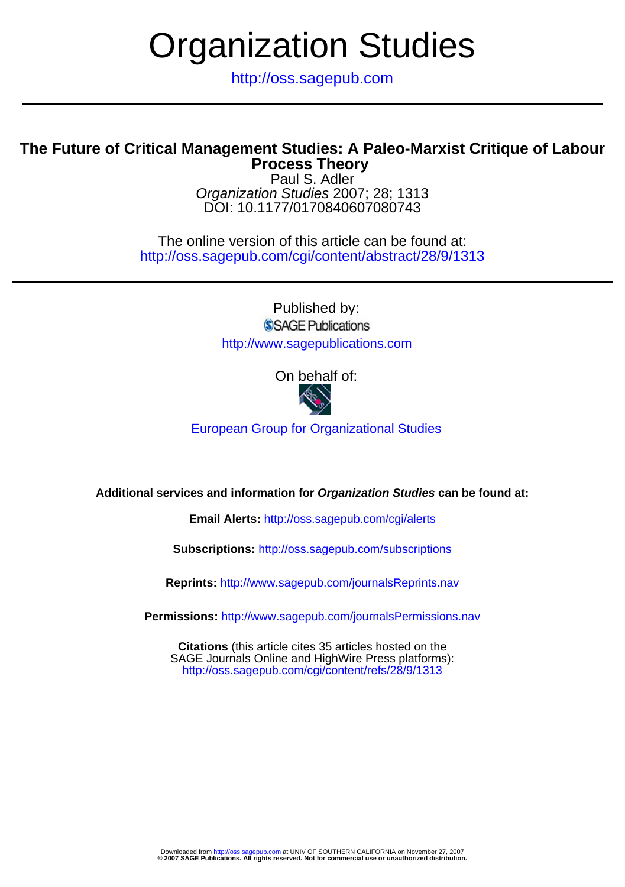# Organization Studies

http://oss.sagepub.com

# **Process Theory The Future of Critical Management Studies: A Paleo-Marxist Critique of Labour**

DOI: 10.1177/0170840607080743 Organization Studies 2007; 28; 1313 Paul S. Adler

http://oss.sagepub.com/cgi/content/abstract/28/9/1313 The online version of this article can be found at:

> Published by: SSAGE Publications http://www.sagepublications.com

> > On behalf of:

[European Group for Organizational Studies](http://www.egosnet.org/)

**Additional services and information for Organization Studies can be found at:**

**Email Alerts:** <http://oss.sagepub.com/cgi/alerts>

**Subscriptions:** <http://oss.sagepub.com/subscriptions>

**Reprints:** <http://www.sagepub.com/journalsReprints.nav>

**Permissions:** <http://www.sagepub.com/journalsPermissions.nav>

<http://oss.sagepub.com/cgi/content/refs/28/9/1313> SAGE Journals Online and HighWire Press platforms): **Citations** (this article cites 35 articles hosted on the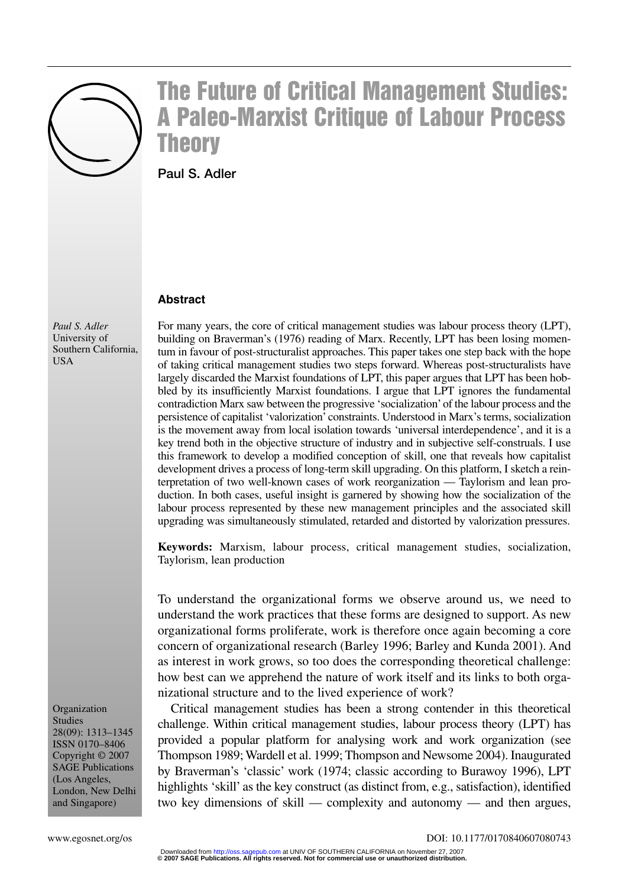

# The Future of Critical Management Studies: A Paleo-Marxist Critique of Labour Process **Theory**

**Paul S. Adler**

# **Abstract**

*Paul S. Adler* University of Southern California, USA

building on Braverman's (1976) reading of Marx. Recently, LPT has been losing momentum in favour of post-structuralist approaches. This paper takes one step back with the hope of taking critical management studies two steps forward. Whereas post-structuralists have largely discarded the Marxist foundations of LPT, this paper argues that LPT has been hobbled by its insufficiently Marxist foundations. I argue that LPT ignores the fundamental contradiction Marx saw between the progressive 'socialization'of the labour process and the persistence of capitalist 'valorization'constraints. Understood in Marx's terms, socialization is the movement away from local isolation towards 'universal interdependence', and it is a key trend both in the objective structure of industry and in subjective self-construals. I use this framework to develop a modified conception of skill, one that reveals how capitalist development drives a process of long-term skill upgrading. On this platform, I sketch a reinterpretation of two well-known cases of work reorganization — Taylorism and lean production. In both cases, useful insight is garnered by showing how the socialization of the labour process represented by these new management principles and the associated skill upgrading was simultaneously stimulated, retarded and distorted by valorization pressures.

For many years, the core of critical management studies was labour process theory (LPT),

**Keywords:** Marxism, labour process, critical management studies, socialization, Taylorism, lean production

To understand the organizational forms we observe around us, we need to understand the work practices that these forms are designed to support. As new organizational forms proliferate, work is therefore once again becoming a core concern of organizational research (Barley 1996; Barley and Kunda 2001). And as interest in work grows, so too does the corresponding theoretical challenge: how best can we apprehend the nature of work itself and its links to both organizational structure and to the lived experience of work?

Critical management studies has been a strong contender in this theoretical challenge. Within critical management studies, labour process theory (LPT) has provided a popular platform for analysing work and work organization (see Thompson 1989; Wardell et al. 1999; Thompson and Newsome 2004). Inaugurated by Braverman's 'classic' work (1974; classic according to Burawoy 1996), LPT highlights 'skill' as the key construct (as distinct from, e.g., satisfaction), identified two key dimensions of skill — complexity and autonomy — and then argues,

Organization Studies 28(09): 1313–1345 ISSN 0170–8406 Copyright © 2007 SAGE Publications (Los Angeles, London, New Delhi and Singapore)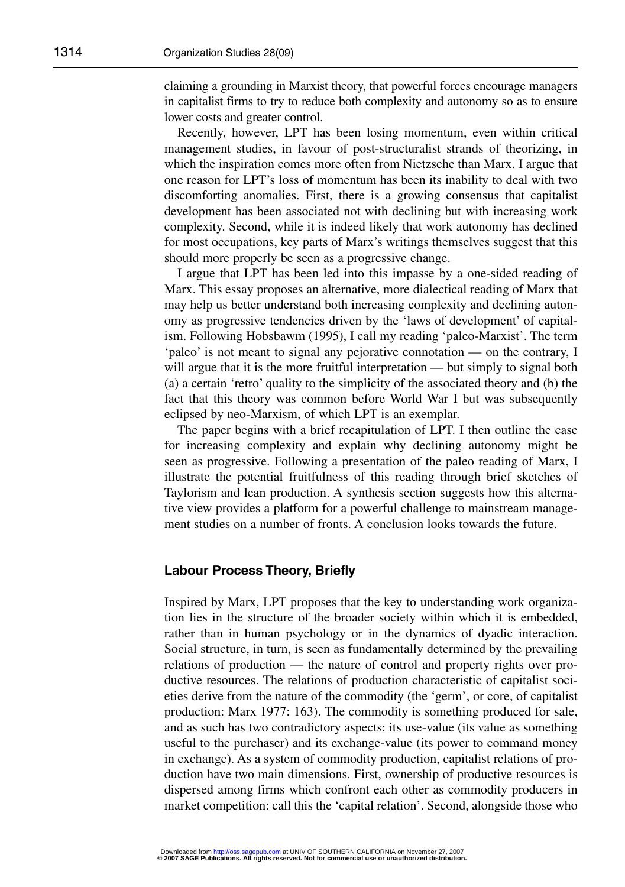claiming a grounding in Marxist theory, that powerful forces encourage managers in capitalist firms to try to reduce both complexity and autonomy so as to ensure lower costs and greater control.

Recently, however, LPT has been losing momentum, even within critical management studies, in favour of post-structuralist strands of theorizing, in which the inspiration comes more often from Nietzsche than Marx. I argue that one reason for LPT's loss of momentum has been its inability to deal with two discomforting anomalies. First, there is a growing consensus that capitalist development has been associated not with declining but with increasing work complexity. Second, while it is indeed likely that work autonomy has declined for most occupations, key parts of Marx's writings themselves suggest that this should more properly be seen as a progressive change.

I argue that LPT has been led into this impasse by a one-sided reading of Marx. This essay proposes an alternative, more dialectical reading of Marx that may help us better understand both increasing complexity and declining autonomy as progressive tendencies driven by the 'laws of development' of capitalism. Following Hobsbawm (1995), I call my reading 'paleo-Marxist'. The term 'paleo' is not meant to signal any pejorative connotation — on the contrary, I will argue that it is the more fruitful interpretation — but simply to signal both (a) a certain 'retro' quality to the simplicity of the associated theory and (b) the fact that this theory was common before World War I but was subsequently eclipsed by neo-Marxism, of which LPT is an exemplar.

The paper begins with a brief recapitulation of LPT. I then outline the case for increasing complexity and explain why declining autonomy might be seen as progressive. Following a presentation of the paleo reading of Marx, I illustrate the potential fruitfulness of this reading through brief sketches of Taylorism and lean production. A synthesis section suggests how this alternative view provides a platform for a powerful challenge to mainstream management studies on a number of fronts. A conclusion looks towards the future.

# **Labour Process Theory, Briefly**

Inspired by Marx, LPT proposes that the key to understanding work organization lies in the structure of the broader society within which it is embedded, rather than in human psychology or in the dynamics of dyadic interaction. Social structure, in turn, is seen as fundamentally determined by the prevailing relations of production — the nature of control and property rights over productive resources. The relations of production characteristic of capitalist societies derive from the nature of the commodity (the 'germ', or core, of capitalist production: Marx 1977: 163). The commodity is something produced for sale, and as such has two contradictory aspects: its use-value (its value as something useful to the purchaser) and its exchange-value (its power to command money in exchange). As a system of commodity production, capitalist relations of production have two main dimensions. First, ownership of productive resources is dispersed among firms which confront each other as commodity producers in market competition: call this the 'capital relation'. Second, alongside those who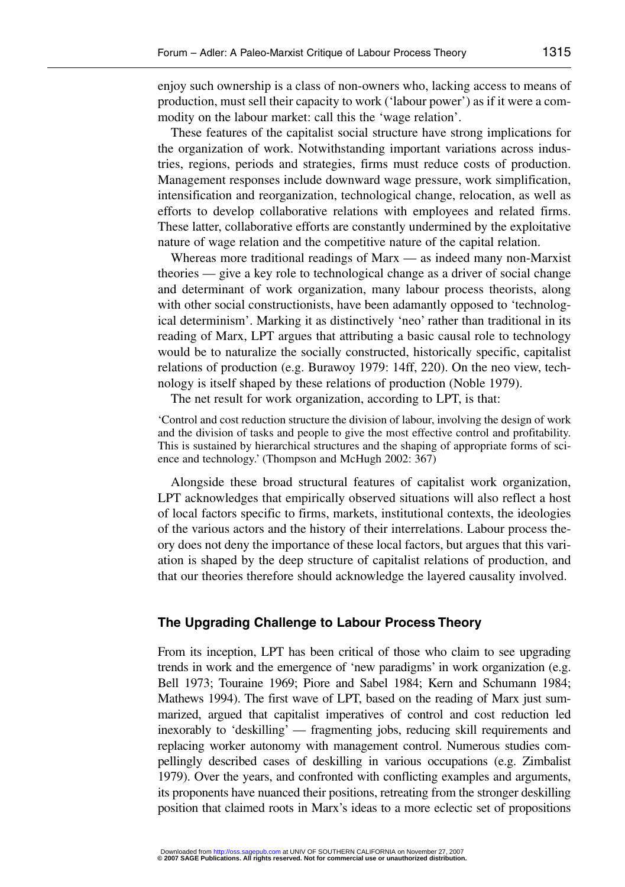enjoy such ownership is a class of non-owners who, lacking access to means of production, must sell their capacity to work ('labour power') as if it were a commodity on the labour market: call this the 'wage relation'.

These features of the capitalist social structure have strong implications for the organization of work. Notwithstanding important variations across industries, regions, periods and strategies, firms must reduce costs of production. Management responses include downward wage pressure, work simplification, intensification and reorganization, technological change, relocation, as well as efforts to develop collaborative relations with employees and related firms. These latter, collaborative efforts are constantly undermined by the exploitative nature of wage relation and the competitive nature of the capital relation.

Whereas more traditional readings of Marx — as indeed many non-Marxist theories — give a key role to technological change as a driver of social change and determinant of work organization, many labour process theorists, along with other social constructionists, have been adamantly opposed to 'technological determinism'. Marking it as distinctively 'neo' rather than traditional in its reading of Marx, LPT argues that attributing a basic causal role to technology would be to naturalize the socially constructed, historically specific, capitalist relations of production (e.g. Burawoy 1979: 14ff, 220). On the neo view, technology is itself shaped by these relations of production (Noble 1979).

The net result for work organization, according to LPT, is that:

'Control and cost reduction structure the division of labour, involving the design of work and the division of tasks and people to give the most effective control and profitability. This is sustained by hierarchical structures and the shaping of appropriate forms of science and technology.' (Thompson and McHugh 2002: 367)

Alongside these broad structural features of capitalist work organization, LPT acknowledges that empirically observed situations will also reflect a host of local factors specific to firms, markets, institutional contexts, the ideologies of the various actors and the history of their interrelations. Labour process theory does not deny the importance of these local factors, but argues that this variation is shaped by the deep structure of capitalist relations of production, and that our theories therefore should acknowledge the layered causality involved.

# **The Upgrading Challenge to Labour Process Theory**

From its inception, LPT has been critical of those who claim to see upgrading trends in work and the emergence of 'new paradigms' in work organization (e.g. Bell 1973; Touraine 1969; Piore and Sabel 1984; Kern and Schumann 1984; Mathews 1994). The first wave of LPT, based on the reading of Marx just summarized, argued that capitalist imperatives of control and cost reduction led inexorably to 'deskilling' — fragmenting jobs, reducing skill requirements and replacing worker autonomy with management control. Numerous studies compellingly described cases of deskilling in various occupations (e.g. Zimbalist 1979). Over the years, and confronted with conflicting examples and arguments, its proponents have nuanced their positions, retreating from the stronger deskilling position that claimed roots in Marx's ideas to a more eclectic set of propositions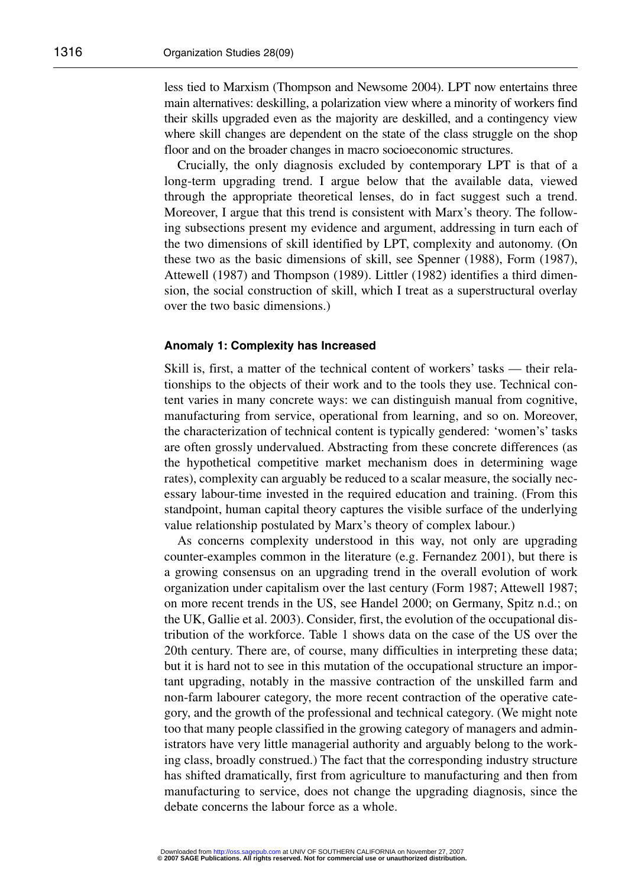less tied to Marxism (Thompson and Newsome 2004). LPT now entertains three main alternatives: deskilling, a polarization view where a minority of workers find their skills upgraded even as the majority are deskilled, and a contingency view where skill changes are dependent on the state of the class struggle on the shop floor and on the broader changes in macro socioeconomic structures.

Crucially, the only diagnosis excluded by contemporary LPT is that of a long-term upgrading trend. I argue below that the available data, viewed through the appropriate theoretical lenses, do in fact suggest such a trend. Moreover, I argue that this trend is consistent with Marx's theory. The following subsections present my evidence and argument, addressing in turn each of the two dimensions of skill identified by LPT, complexity and autonomy. (On these two as the basic dimensions of skill, see Spenner (1988), Form (1987), Attewell (1987) and Thompson (1989). Littler (1982) identifies a third dimension, the social construction of skill, which I treat as a superstructural overlay over the two basic dimensions.)

#### **Anomaly 1: Complexity has Increased**

Skill is, first, a matter of the technical content of workers' tasks — their relationships to the objects of their work and to the tools they use. Technical content varies in many concrete ways: we can distinguish manual from cognitive, manufacturing from service, operational from learning, and so on. Moreover, the characterization of technical content is typically gendered: 'women's' tasks are often grossly undervalued. Abstracting from these concrete differences (as the hypothetical competitive market mechanism does in determining wage rates), complexity can arguably be reduced to a scalar measure, the socially necessary labour-time invested in the required education and training. (From this standpoint, human capital theory captures the visible surface of the underlying value relationship postulated by Marx's theory of complex labour.)

As concerns complexity understood in this way, not only are upgrading counter-examples common in the literature (e.g. Fernandez 2001), but there is a growing consensus on an upgrading trend in the overall evolution of work organization under capitalism over the last century (Form 1987; Attewell 1987; on more recent trends in the US, see Handel 2000; on Germany, Spitz n.d.; on the UK, Gallie et al. 2003). Consider, first, the evolution of the occupational distribution of the workforce. Table 1 shows data on the case of the US over the 20th century. There are, of course, many difficulties in interpreting these data; but it is hard not to see in this mutation of the occupational structure an important upgrading, notably in the massive contraction of the unskilled farm and non-farm labourer category, the more recent contraction of the operative category, and the growth of the professional and technical category. (We might note too that many people classified in the growing category of managers and administrators have very little managerial authority and arguably belong to the working class, broadly construed.) The fact that the corresponding industry structure has shifted dramatically, first from agriculture to manufacturing and then from manufacturing to service, does not change the upgrading diagnosis, since the debate concerns the labour force as a whole.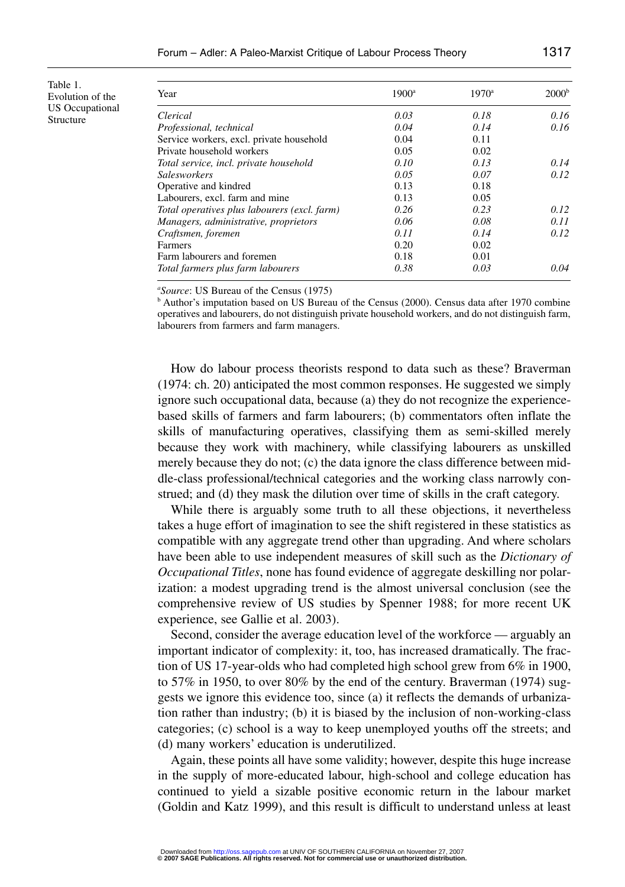Forum – Adler: A Paleo-Marxist Critique of Labour Process Theory 1317

Table 1. Evolution of the US Occupational Structure

| Year                                         | $1900^{\rm a}$ | $1970^{\circ}$ | 2000 <sup>b</sup> |
|----------------------------------------------|----------------|----------------|-------------------|
| Clerical                                     | 0.03           | 0.18           | 0.16              |
| Professional, technical                      | 0.04           | 0.14           | 0.16              |
| Service workers, excl. private household     | 0.04           | 0.11           |                   |
| Private household workers                    | 0.05           | 0.02           |                   |
| Total service, incl. private household       | 0.10           | 0.13           | 0.14              |
| <b>Salesworkers</b>                          | 0.05           | 0.07           | 0.12              |
| Operative and kindred                        | 0.13           | 0.18           |                   |
| Labourers, excl. farm and mine               | 0.13           | 0.05           |                   |
| Total operatives plus labourers (excl. farm) | 0.26           | 0.23           | 0.12              |
| Managers, administrative, proprietors        | 0.06           | 0.08           | 0.11              |
| Craftsmen, foremen                           | 0.11           | 0.14           | 0.12              |
| Farmers                                      | 0.20           | 0.02           |                   |
| Farm labourers and foremen                   | 0.18           | 0.01           |                   |
| Total farmers plus farm labourers            | 0.38           | 0.03           | 0.04              |

*a Source*: US Bureau of the Census (1975)

<sup>b</sup> Author's imputation based on US Bureau of the Census (2000). Census data after 1970 combine operatives and labourers, do not distinguish private household workers, and do not distinguish farm, labourers from farmers and farm managers.

How do labour process theorists respond to data such as these? Braverman (1974: ch. 20) anticipated the most common responses. He suggested we simply ignore such occupational data, because (a) they do not recognize the experiencebased skills of farmers and farm labourers; (b) commentators often inflate the skills of manufacturing operatives, classifying them as semi-skilled merely because they work with machinery, while classifying labourers as unskilled merely because they do not; (c) the data ignore the class difference between middle-class professional/technical categories and the working class narrowly construed; and (d) they mask the dilution over time of skills in the craft category.

While there is arguably some truth to all these objections, it nevertheless takes a huge effort of imagination to see the shift registered in these statistics as compatible with any aggregate trend other than upgrading. And where scholars have been able to use independent measures of skill such as the *Dictionary of Occupational Titles*, none has found evidence of aggregate deskilling nor polarization: a modest upgrading trend is the almost universal conclusion (see the comprehensive review of US studies by Spenner 1988; for more recent UK experience, see Gallie et al. 2003).

Second, consider the average education level of the workforce — arguably an important indicator of complexity: it, too, has increased dramatically. The fraction of US 17-year-olds who had completed high school grew from 6% in 1900, to 57% in 1950, to over 80% by the end of the century. Braverman (1974) suggests we ignore this evidence too, since (a) it reflects the demands of urbanization rather than industry; (b) it is biased by the inclusion of non-working-class categories; (c) school is a way to keep unemployed youths off the streets; and (d) many workers' education is underutilized.

Again, these points all have some validity; however, despite this huge increase in the supply of more-educated labour, high-school and college education has continued to yield a sizable positive economic return in the labour market (Goldin and Katz 1999), and this result is difficult to understand unless at least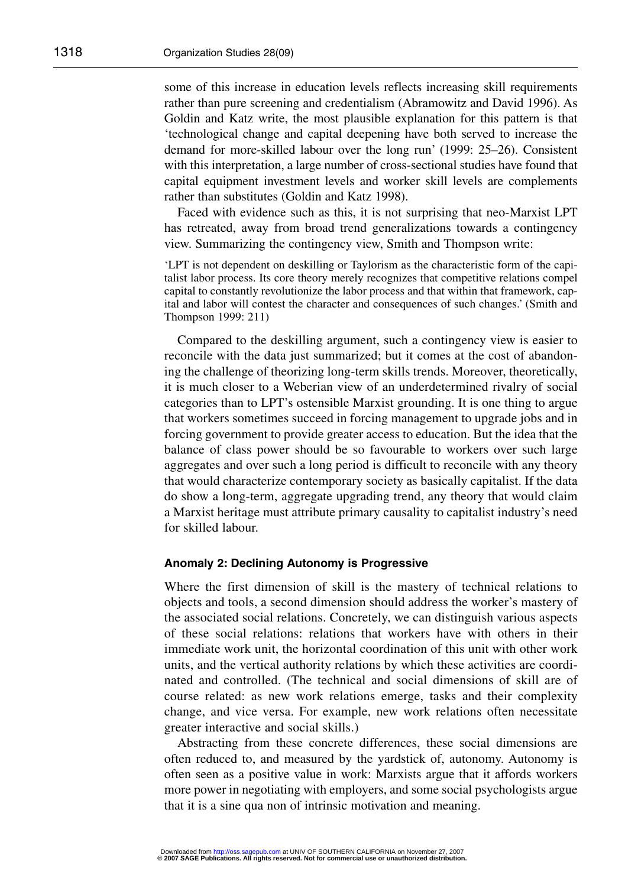some of this increase in education levels reflects increasing skill requirements rather than pure screening and credentialism (Abramowitz and David 1996). As Goldin and Katz write, the most plausible explanation for this pattern is that 'technological change and capital deepening have both served to increase the demand for more-skilled labour over the long run' (1999: 25–26). Consistent with this interpretation, a large number of cross-sectional studies have found that capital equipment investment levels and worker skill levels are complements rather than substitutes (Goldin and Katz 1998).

Faced with evidence such as this, it is not surprising that neo-Marxist LPT has retreated, away from broad trend generalizations towards a contingency view. Summarizing the contingency view, Smith and Thompson write:

'LPT is not dependent on deskilling or Taylorism as the characteristic form of the capitalist labor process. Its core theory merely recognizes that competitive relations compel capital to constantly revolutionize the labor process and that within that framework, capital and labor will contest the character and consequences of such changes.' (Smith and Thompson 1999: 211)

Compared to the deskilling argument, such a contingency view is easier to reconcile with the data just summarized; but it comes at the cost of abandoning the challenge of theorizing long-term skills trends. Moreover, theoretically, it is much closer to a Weberian view of an underdetermined rivalry of social categories than to LPT's ostensible Marxist grounding. It is one thing to argue that workers sometimes succeed in forcing management to upgrade jobs and in forcing government to provide greater access to education. But the idea that the balance of class power should be so favourable to workers over such large aggregates and over such a long period is difficult to reconcile with any theory that would characterize contemporary society as basically capitalist. If the data do show a long-term, aggregate upgrading trend, any theory that would claim a Marxist heritage must attribute primary causality to capitalist industry's need for skilled labour.

#### **Anomaly 2: Declining Autonomy is Progressive**

Where the first dimension of skill is the mastery of technical relations to objects and tools, a second dimension should address the worker's mastery of the associated social relations. Concretely, we can distinguish various aspects of these social relations: relations that workers have with others in their immediate work unit, the horizontal coordination of this unit with other work units, and the vertical authority relations by which these activities are coordinated and controlled. (The technical and social dimensions of skill are of course related: as new work relations emerge, tasks and their complexity change, and vice versa. For example, new work relations often necessitate greater interactive and social skills.)

Abstracting from these concrete differences, these social dimensions are often reduced to, and measured by the yardstick of, autonomy. Autonomy is often seen as a positive value in work: Marxists argue that it affords workers more power in negotiating with employers, and some social psychologists argue that it is a sine qua non of intrinsic motivation and meaning.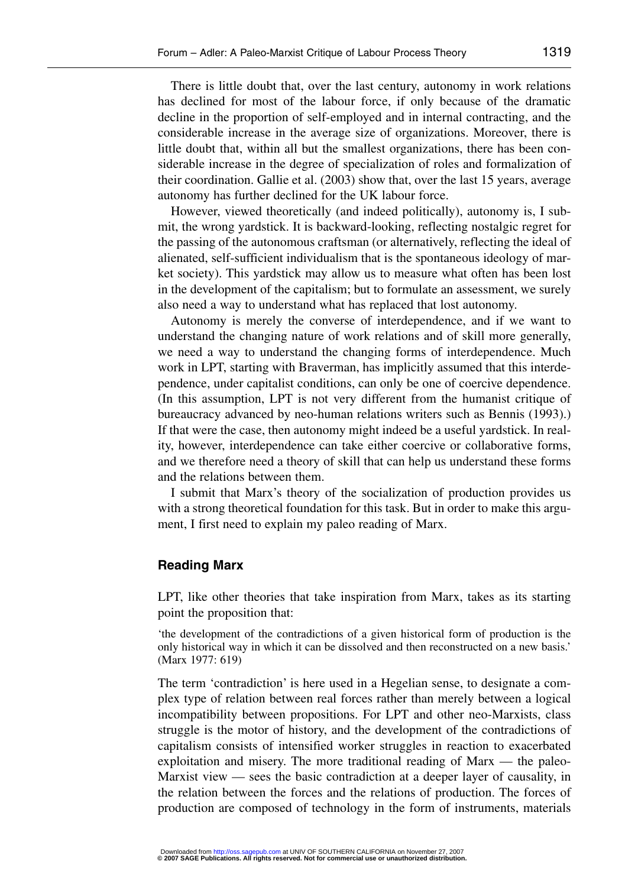considerable increase in the average size of organizations. Moreover, there is little doubt that, within all but the smallest organizations, there has been considerable increase in the degree of specialization of roles and formalization of their coordination. Gallie et al. (2003) show that, over the last 15 years, average autonomy has further declined for the UK labour force.

However, viewed theoretically (and indeed politically), autonomy is, I submit, the wrong yardstick. It is backward-looking, reflecting nostalgic regret for the passing of the autonomous craftsman (or alternatively, reflecting the ideal of alienated, self-sufficient individualism that is the spontaneous ideology of market society). This yardstick may allow us to measure what often has been lost in the development of the capitalism; but to formulate an assessment, we surely also need a way to understand what has replaced that lost autonomy.

Autonomy is merely the converse of interdependence, and if we want to understand the changing nature of work relations and of skill more generally, we need a way to understand the changing forms of interdependence. Much work in LPT, starting with Braverman, has implicitly assumed that this interdependence, under capitalist conditions, can only be one of coercive dependence. (In this assumption, LPT is not very different from the humanist critique of bureaucracy advanced by neo-human relations writers such as Bennis (1993).) If that were the case, then autonomy might indeed be a useful yardstick. In reality, however, interdependence can take either coercive or collaborative forms, and we therefore need a theory of skill that can help us understand these forms and the relations between them.

I submit that Marx's theory of the socialization of production provides us with a strong theoretical foundation for this task. But in order to make this argument, I first need to explain my paleo reading of Marx.

# **Reading Marx**

LPT, like other theories that take inspiration from Marx, takes as its starting point the proposition that:

'the development of the contradictions of a given historical form of production is the only historical way in which it can be dissolved and then reconstructed on a new basis.' (Marx 1977: 619)

The term 'contradiction' is here used in a Hegelian sense, to designate a complex type of relation between real forces rather than merely between a logical incompatibility between propositions. For LPT and other neo-Marxists, class struggle is the motor of history, and the development of the contradictions of capitalism consists of intensified worker struggles in reaction to exacerbated exploitation and misery. The more traditional reading of Marx — the paleo-Marxist view — sees the basic contradiction at a deeper layer of causality, in the relation between the forces and the relations of production. The forces of production are composed of technology in the form of instruments, materials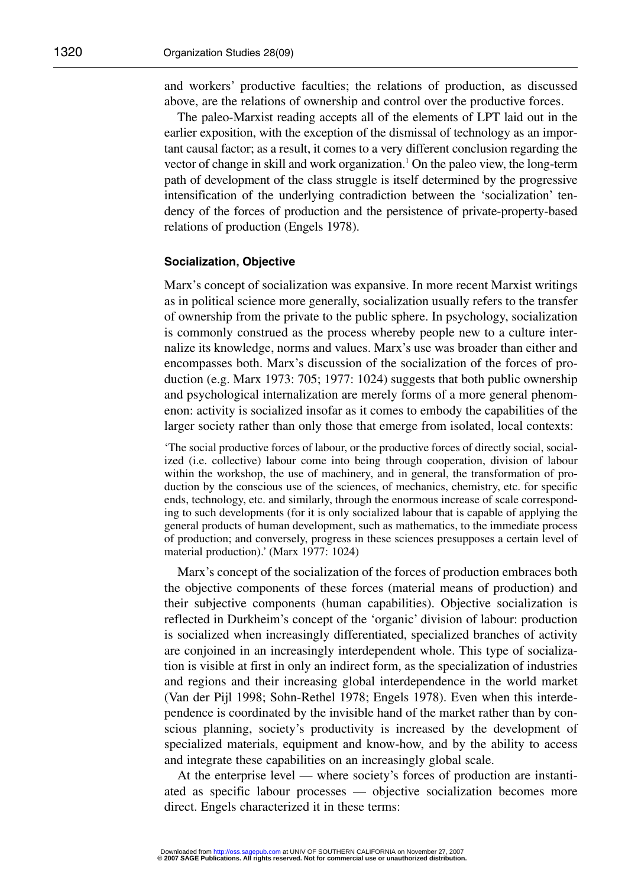and workers' productive faculties; the relations of production, as discussed above, are the relations of ownership and control over the productive forces.

The paleo-Marxist reading accepts all of the elements of LPT laid out in the earlier exposition, with the exception of the dismissal of technology as an important causal factor; as a result, it comes to a very different conclusion regarding the vector of change in skill and work organization.<sup>1</sup> On the paleo view, the long-term path of development of the class struggle is itself determined by the progressive intensification of the underlying contradiction between the 'socialization' tendency of the forces of production and the persistence of private-property-based relations of production (Engels 1978).

#### **Socialization, Objective**

Marx's concept of socialization was expansive. In more recent Marxist writings as in political science more generally, socialization usually refers to the transfer of ownership from the private to the public sphere. In psychology, socialization is commonly construed as the process whereby people new to a culture internalize its knowledge, norms and values. Marx's use was broader than either and encompasses both. Marx's discussion of the socialization of the forces of production (e.g. Marx 1973: 705; 1977: 1024) suggests that both public ownership and psychological internalization are merely forms of a more general phenomenon: activity is socialized insofar as it comes to embody the capabilities of the larger society rather than only those that emerge from isolated, local contexts:

'The social productive forces of labour, or the productive forces of directly social, socialized (i.e. collective) labour come into being through cooperation, division of labour within the workshop, the use of machinery, and in general, the transformation of production by the conscious use of the sciences, of mechanics, chemistry, etc. for specific ends, technology, etc. and similarly, through the enormous increase of scale corresponding to such developments (for it is only socialized labour that is capable of applying the general products of human development, such as mathematics, to the immediate process of production; and conversely, progress in these sciences presupposes a certain level of material production).' (Marx 1977: 1024)

Marx's concept of the socialization of the forces of production embraces both the objective components of these forces (material means of production) and their subjective components (human capabilities). Objective socialization is reflected in Durkheim's concept of the 'organic' division of labour: production is socialized when increasingly differentiated, specialized branches of activity are conjoined in an increasingly interdependent whole. This type of socialization is visible at first in only an indirect form, as the specialization of industries and regions and their increasing global interdependence in the world market (Van der Pijl 1998; Sohn-Rethel 1978; Engels 1978). Even when this interdependence is coordinated by the invisible hand of the market rather than by conscious planning, society's productivity is increased by the development of specialized materials, equipment and know-how, and by the ability to access and integrate these capabilities on an increasingly global scale.

At the enterprise level — where society's forces of production are instantiated as specific labour processes — objective socialization becomes more direct. Engels characterized it in these terms: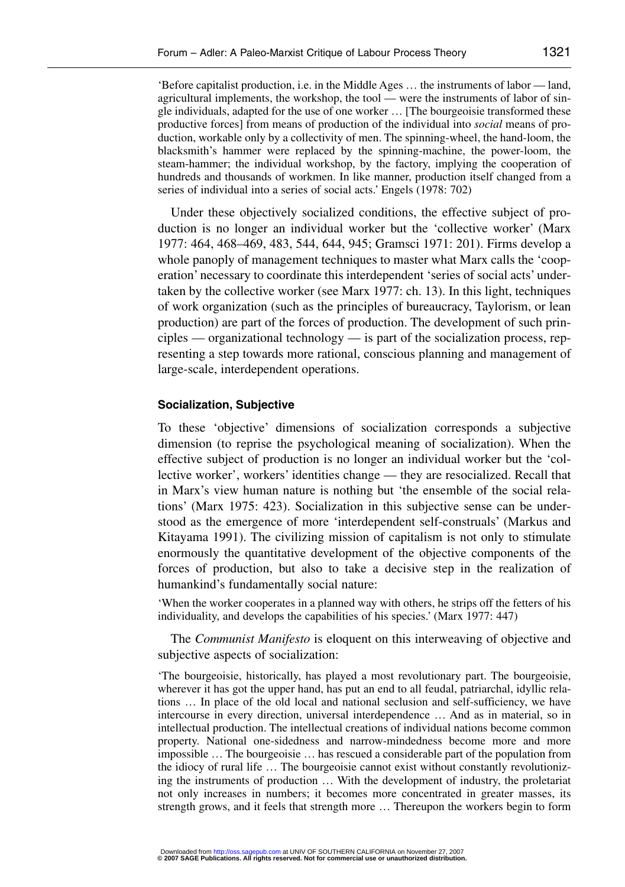'Before capitalist production, i.e. in the Middle Ages … the instruments of labor — land, agricultural implements, the workshop, the tool — were the instruments of labor of single individuals, adapted for the use of one worker … [The bourgeoisie transformed these productive forces] from means of production of the individual into *social* means of production, workable only by a collectivity of men. The spinning-wheel, the hand-loom, the blacksmith's hammer were replaced by the spinning-machine, the power-loom, the steam-hammer; the individual workshop, by the factory, implying the cooperation of hundreds and thousands of workmen. In like manner, production itself changed from a series of individual into a series of social acts.' Engels (1978: 702)

Under these objectively socialized conditions, the effective subject of production is no longer an individual worker but the 'collective worker' (Marx 1977: 464, 468–469, 483, 544, 644, 945; Gramsci 1971: 201). Firms develop a whole panoply of management techniques to master what Marx calls the 'cooperation' necessary to coordinate this interdependent 'series of social acts' undertaken by the collective worker (see Marx 1977: ch. 13). In this light, techniques of work organization (such as the principles of bureaucracy, Taylorism, or lean production) are part of the forces of production. The development of such principles — organizational technology — is part of the socialization process, representing a step towards more rational, conscious planning and management of large-scale, interdependent operations.

#### **Socialization, Subjective**

To these 'objective' dimensions of socialization corresponds a subjective dimension (to reprise the psychological meaning of socialization). When the effective subject of production is no longer an individual worker but the 'collective worker', workers' identities change — they are resocialized. Recall that in Marx's view human nature is nothing but 'the ensemble of the social relations' (Marx 1975: 423). Socialization in this subjective sense can be understood as the emergence of more 'interdependent self-construals' (Markus and Kitayama 1991). The civilizing mission of capitalism is not only to stimulate enormously the quantitative development of the objective components of the forces of production, but also to take a decisive step in the realization of humankind's fundamentally social nature:

'When the worker cooperates in a planned way with others, he strips off the fetters of his individuality, and develops the capabilities of his species.' (Marx 1977: 447)

The *Communist Manifesto* is eloquent on this interweaving of objective and subjective aspects of socialization:

'The bourgeoisie, historically, has played a most revolutionary part. The bourgeoisie, wherever it has got the upper hand, has put an end to all feudal, patriarchal, idyllic relations … In place of the old local and national seclusion and self-sufficiency, we have intercourse in every direction, universal interdependence … And as in material, so in intellectual production. The intellectual creations of individual nations become common property. National one-sidedness and narrow-mindedness become more and more impossible … The bourgeoisie … has rescued a considerable part of the population from the idiocy of rural life … The bourgeoisie cannot exist without constantly revolutionizing the instruments of production … With the development of industry, the proletariat not only increases in numbers; it becomes more concentrated in greater masses, its strength grows, and it feels that strength more … Thereupon the workers begin to form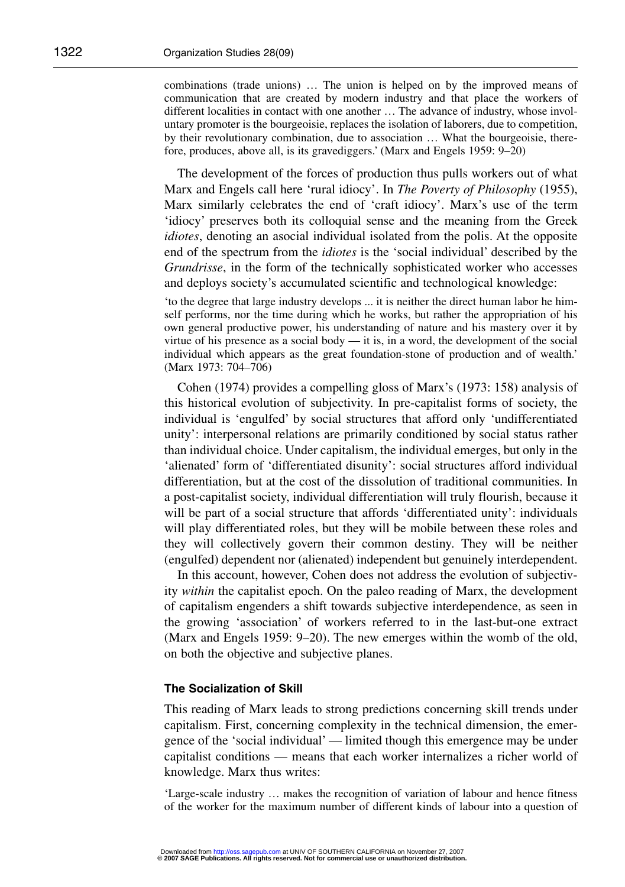combinations (trade unions) … The union is helped on by the improved means of communication that are created by modern industry and that place the workers of different localities in contact with one another … The advance of industry, whose involuntary promoter is the bourgeoisie, replaces the isolation of laborers, due to competition, by their revolutionary combination, due to association … What the bourgeoisie, therefore, produces, above all, is its gravediggers.' (Marx and Engels 1959: 9–20)

The development of the forces of production thus pulls workers out of what Marx and Engels call here 'rural idiocy'. In *The Poverty of Philosophy* (1955), Marx similarly celebrates the end of 'craft idiocy'. Marx's use of the term 'idiocy' preserves both its colloquial sense and the meaning from the Greek *idiotes*, denoting an asocial individual isolated from the polis. At the opposite end of the spectrum from the *idiotes* is the 'social individual' described by the *Grundrisse*, in the form of the technically sophisticated worker who accesses and deploys society's accumulated scientific and technological knowledge:

'to the degree that large industry develops ... it is neither the direct human labor he himself performs, nor the time during which he works, but rather the appropriation of his own general productive power, his understanding of nature and his mastery over it by virtue of his presence as a social body — it is, in a word, the development of the social individual which appears as the great foundation-stone of production and of wealth.' (Marx 1973: 704–706)

Cohen (1974) provides a compelling gloss of Marx's (1973: 158) analysis of this historical evolution of subjectivity. In pre-capitalist forms of society, the individual is 'engulfed' by social structures that afford only 'undifferentiated unity': interpersonal relations are primarily conditioned by social status rather than individual choice. Under capitalism, the individual emerges, but only in the 'alienated' form of 'differentiated disunity': social structures afford individual differentiation, but at the cost of the dissolution of traditional communities. In a post-capitalist society, individual differentiation will truly flourish, because it will be part of a social structure that affords 'differentiated unity': individuals will play differentiated roles, but they will be mobile between these roles and they will collectively govern their common destiny. They will be neither (engulfed) dependent nor (alienated) independent but genuinely interdependent.

In this account, however, Cohen does not address the evolution of subjectivity *within* the capitalist epoch. On the paleo reading of Marx, the development of capitalism engenders a shift towards subjective interdependence, as seen in the growing 'association' of workers referred to in the last-but-one extract (Marx and Engels 1959: 9–20). The new emerges within the womb of the old, on both the objective and subjective planes.

# **The Socialization of Skill**

This reading of Marx leads to strong predictions concerning skill trends under capitalism. First, concerning complexity in the technical dimension, the emergence of the 'social individual' — limited though this emergence may be under capitalist conditions — means that each worker internalizes a richer world of knowledge. Marx thus writes:

'Large-scale industry … makes the recognition of variation of labour and hence fitness of the worker for the maximum number of different kinds of labour into a question of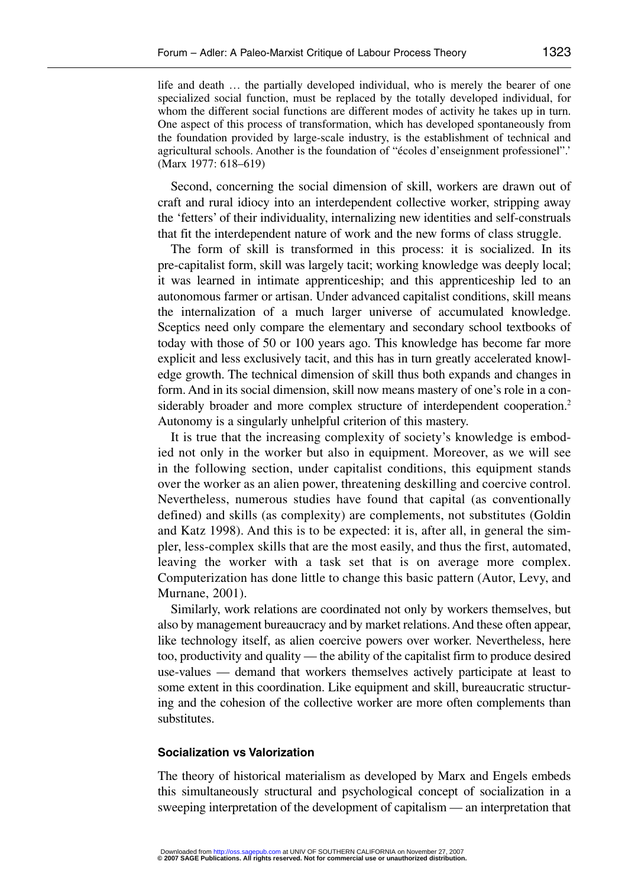life and death … the partially developed individual, who is merely the bearer of one specialized social function, must be replaced by the totally developed individual, for whom the different social functions are different modes of activity he takes up in turn. One aspect of this process of transformation, which has developed spontaneously from the foundation provided by large-scale industry, is the establishment of technical and agricultural schools. Another is the foundation of "écoles d'enseignment professionel".' (Marx 1977: 618–619)

Second, concerning the social dimension of skill, workers are drawn out of craft and rural idiocy into an interdependent collective worker, stripping away the 'fetters' of their individuality, internalizing new identities and self-construals that fit the interdependent nature of work and the new forms of class struggle.

The form of skill is transformed in this process: it is socialized. In its pre-capitalist form, skill was largely tacit; working knowledge was deeply local; it was learned in intimate apprenticeship; and this apprenticeship led to an autonomous farmer or artisan. Under advanced capitalist conditions, skill means the internalization of a much larger universe of accumulated knowledge. Sceptics need only compare the elementary and secondary school textbooks of today with those of 50 or 100 years ago. This knowledge has become far more explicit and less exclusively tacit, and this has in turn greatly accelerated knowledge growth. The technical dimension of skill thus both expands and changes in form. And in its social dimension, skill now means mastery of one's role in a considerably broader and more complex structure of interdependent cooperation.<sup>2</sup> Autonomy is a singularly unhelpful criterion of this mastery.

It is true that the increasing complexity of society's knowledge is embodied not only in the worker but also in equipment. Moreover, as we will see in the following section, under capitalist conditions, this equipment stands over the worker as an alien power, threatening deskilling and coercive control. Nevertheless, numerous studies have found that capital (as conventionally defined) and skills (as complexity) are complements, not substitutes (Goldin and Katz 1998). And this is to be expected: it is, after all, in general the simpler, less-complex skills that are the most easily, and thus the first, automated, leaving the worker with a task set that is on average more complex. Computerization has done little to change this basic pattern (Autor, Levy, and Murnane, 2001).

Similarly, work relations are coordinated not only by workers themselves, but also by management bureaucracy and by market relations. And these often appear, like technology itself, as alien coercive powers over worker. Nevertheless, here too, productivity and quality — the ability of the capitalist firm to produce desired use-values — demand that workers themselves actively participate at least to some extent in this coordination. Like equipment and skill, bureaucratic structuring and the cohesion of the collective worker are more often complements than substitutes.

# **Socialization vs Valorization**

The theory of historical materialism as developed by Marx and Engels embeds this simultaneously structural and psychological concept of socialization in a sweeping interpretation of the development of capitalism — an interpretation that

**<sup>© 2007</sup> SAGE Publications. All rights reserved. Not for commercial use or unauthorized distribution.** Downloaded from<http://oss.sagepub.com>at UNIV OF SOUTHERN CALIFORNIA on November 27, 2007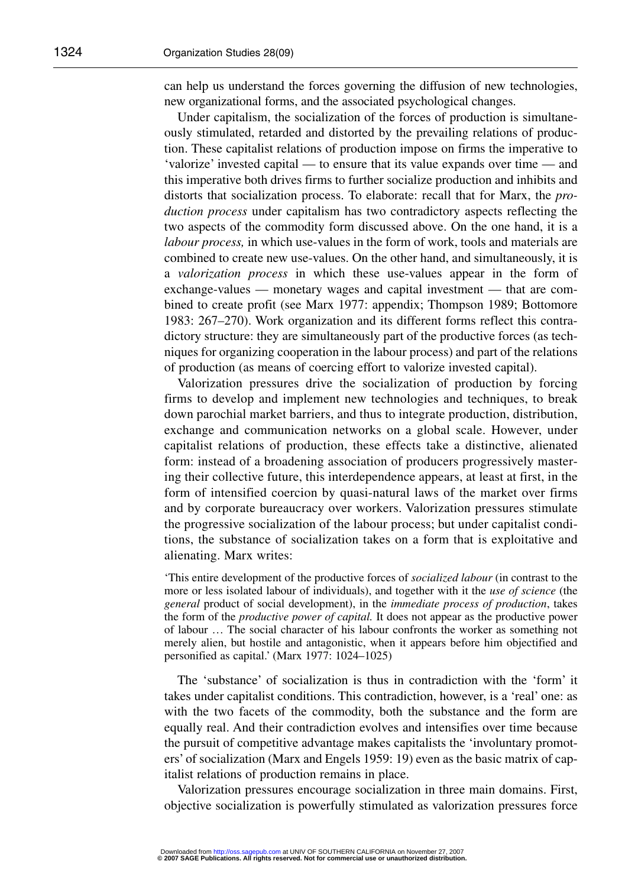can help us understand the forces governing the diffusion of new technologies, new organizational forms, and the associated psychological changes.

Under capitalism, the socialization of the forces of production is simultaneously stimulated, retarded and distorted by the prevailing relations of production. These capitalist relations of production impose on firms the imperative to 'valorize' invested capital — to ensure that its value expands over time — and this imperative both drives firms to further socialize production and inhibits and distorts that socialization process. To elaborate: recall that for Marx, the *production process* under capitalism has two contradictory aspects reflecting the two aspects of the commodity form discussed above. On the one hand, it is a *labour process,* in which use-values in the form of work, tools and materials are combined to create new use-values. On the other hand, and simultaneously, it is a *valorization process* in which these use-values appear in the form of exchange-values — monetary wages and capital investment — that are combined to create profit (see Marx 1977: appendix; Thompson 1989; Bottomore 1983: 267–270). Work organization and its different forms reflect this contradictory structure: they are simultaneously part of the productive forces (as techniques for organizing cooperation in the labour process) and part of the relations of production (as means of coercing effort to valorize invested capital).

Valorization pressures drive the socialization of production by forcing firms to develop and implement new technologies and techniques, to break down parochial market barriers, and thus to integrate production, distribution, exchange and communication networks on a global scale. However, under capitalist relations of production, these effects take a distinctive, alienated form: instead of a broadening association of producers progressively mastering their collective future, this interdependence appears, at least at first, in the form of intensified coercion by quasi-natural laws of the market over firms and by corporate bureaucracy over workers. Valorization pressures stimulate the progressive socialization of the labour process; but under capitalist conditions, the substance of socialization takes on a form that is exploitative and alienating. Marx writes:

'This entire development of the productive forces of *socialized labour* (in contrast to the more or less isolated labour of individuals), and together with it the *use of science* (the *general* product of social development), in the *immediate process of production*, takes the form of the *productive power of capital.* It does not appear as the productive power of labour … The social character of his labour confronts the worker as something not merely alien, but hostile and antagonistic, when it appears before him objectified and personified as capital.' (Marx 1977: 1024–1025)

The 'substance' of socialization is thus in contradiction with the 'form' it takes under capitalist conditions. This contradiction, however, is a 'real' one: as with the two facets of the commodity, both the substance and the form are equally real. And their contradiction evolves and intensifies over time because the pursuit of competitive advantage makes capitalists the 'involuntary promoters' of socialization (Marx and Engels 1959: 19) even as the basic matrix of capitalist relations of production remains in place.

Valorization pressures encourage socialization in three main domains. First, objective socialization is powerfully stimulated as valorization pressures force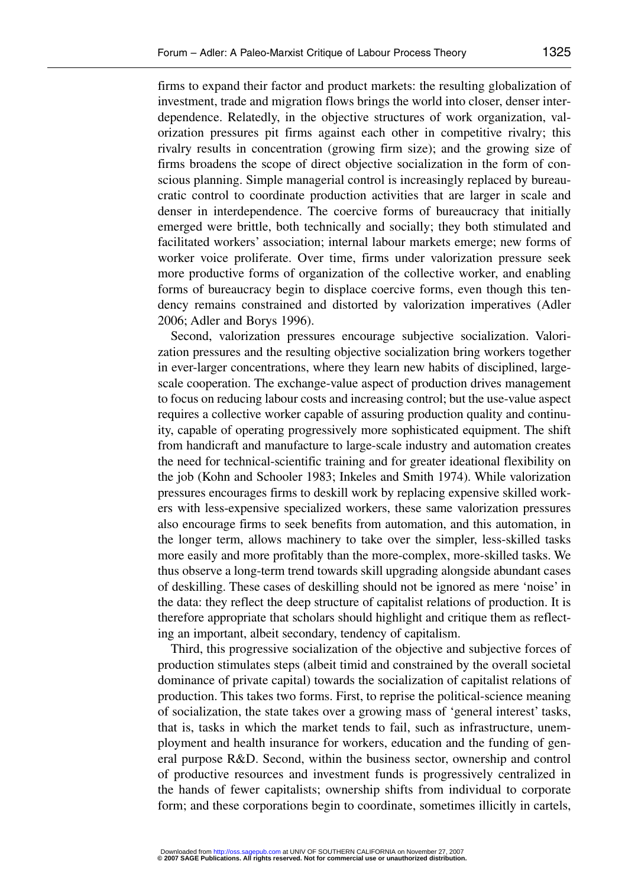firms to expand their factor and product markets: the resulting globalization of investment, trade and migration flows brings the world into closer, denser interdependence. Relatedly, in the objective structures of work organization, valorization pressures pit firms against each other in competitive rivalry; this rivalry results in concentration (growing firm size); and the growing size of firms broadens the scope of direct objective socialization in the form of conscious planning. Simple managerial control is increasingly replaced by bureaucratic control to coordinate production activities that are larger in scale and denser in interdependence. The coercive forms of bureaucracy that initially emerged were brittle, both technically and socially; they both stimulated and facilitated workers' association; internal labour markets emerge; new forms of worker voice proliferate. Over time, firms under valorization pressure seek more productive forms of organization of the collective worker, and enabling forms of bureaucracy begin to displace coercive forms, even though this tendency remains constrained and distorted by valorization imperatives (Adler 2006; Adler and Borys 1996).

Second, valorization pressures encourage subjective socialization. Valorization pressures and the resulting objective socialization bring workers together in ever-larger concentrations, where they learn new habits of disciplined, largescale cooperation. The exchange-value aspect of production drives management to focus on reducing labour costs and increasing control; but the use-value aspect requires a collective worker capable of assuring production quality and continuity, capable of operating progressively more sophisticated equipment. The shift from handicraft and manufacture to large-scale industry and automation creates the need for technical-scientific training and for greater ideational flexibility on the job (Kohn and Schooler 1983; Inkeles and Smith 1974). While valorization pressures encourages firms to deskill work by replacing expensive skilled workers with less-expensive specialized workers, these same valorization pressures also encourage firms to seek benefits from automation, and this automation, in the longer term, allows machinery to take over the simpler, less-skilled tasks more easily and more profitably than the more-complex, more-skilled tasks. We thus observe a long-term trend towards skill upgrading alongside abundant cases of deskilling. These cases of deskilling should not be ignored as mere 'noise' in the data: they reflect the deep structure of capitalist relations of production. It is therefore appropriate that scholars should highlight and critique them as reflecting an important, albeit secondary, tendency of capitalism.

Third, this progressive socialization of the objective and subjective forces of production stimulates steps (albeit timid and constrained by the overall societal dominance of private capital) towards the socialization of capitalist relations of production. This takes two forms. First, to reprise the political-science meaning of socialization, the state takes over a growing mass of 'general interest' tasks, that is, tasks in which the market tends to fail, such as infrastructure, unemployment and health insurance for workers, education and the funding of general purpose R&D. Second, within the business sector, ownership and control of productive resources and investment funds is progressively centralized in the hands of fewer capitalists; ownership shifts from individual to corporate form; and these corporations begin to coordinate, sometimes illicitly in cartels,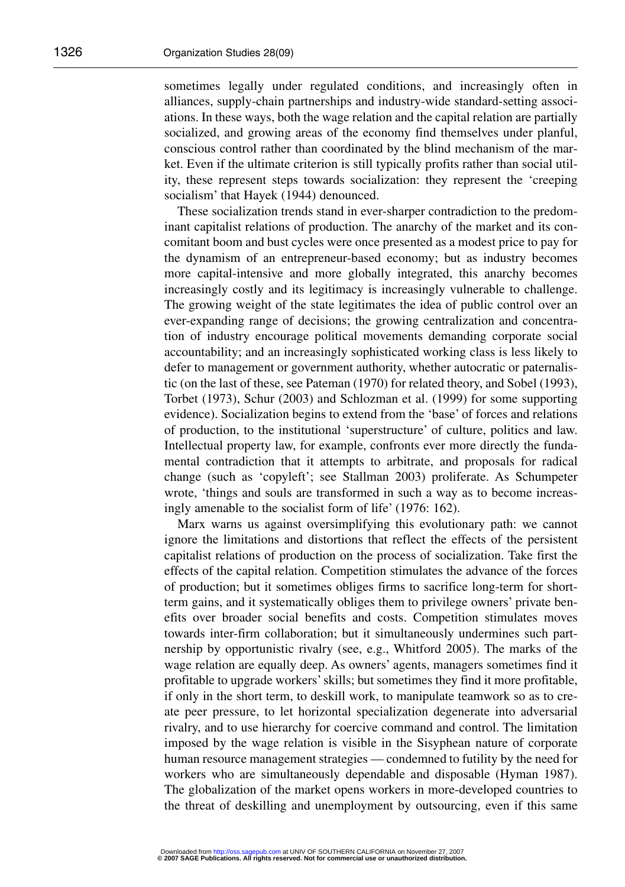sometimes legally under regulated conditions, and increasingly often in alliances, supply-chain partnerships and industry-wide standard-setting associations. In these ways, both the wage relation and the capital relation are partially socialized, and growing areas of the economy find themselves under planful, conscious control rather than coordinated by the blind mechanism of the market. Even if the ultimate criterion is still typically profits rather than social utility, these represent steps towards socialization: they represent the 'creeping socialism' that Hayek (1944) denounced.

These socialization trends stand in ever-sharper contradiction to the predominant capitalist relations of production. The anarchy of the market and its concomitant boom and bust cycles were once presented as a modest price to pay for the dynamism of an entrepreneur-based economy; but as industry becomes more capital-intensive and more globally integrated, this anarchy becomes increasingly costly and its legitimacy is increasingly vulnerable to challenge. The growing weight of the state legitimates the idea of public control over an ever-expanding range of decisions; the growing centralization and concentration of industry encourage political movements demanding corporate social accountability; and an increasingly sophisticated working class is less likely to defer to management or government authority, whether autocratic or paternalistic (on the last of these, see Pateman (1970) for related theory, and Sobel (1993), Torbet (1973), Schur (2003) and Schlozman et al. (1999) for some supporting evidence). Socialization begins to extend from the 'base' of forces and relations of production, to the institutional 'superstructure' of culture, politics and law. Intellectual property law, for example, confronts ever more directly the fundamental contradiction that it attempts to arbitrate, and proposals for radical change (such as 'copyleft'; see Stallman 2003) proliferate. As Schumpeter wrote, 'things and souls are transformed in such a way as to become increasingly amenable to the socialist form of life' (1976: 162).

Marx warns us against oversimplifying this evolutionary path: we cannot ignore the limitations and distortions that reflect the effects of the persistent capitalist relations of production on the process of socialization. Take first the effects of the capital relation. Competition stimulates the advance of the forces of production; but it sometimes obliges firms to sacrifice long-term for shortterm gains, and it systematically obliges them to privilege owners' private benefits over broader social benefits and costs. Competition stimulates moves towards inter-firm collaboration; but it simultaneously undermines such partnership by opportunistic rivalry (see, e.g., Whitford 2005). The marks of the wage relation are equally deep. As owners' agents, managers sometimes find it profitable to upgrade workers' skills; but sometimes they find it more profitable, if only in the short term, to deskill work, to manipulate teamwork so as to create peer pressure, to let horizontal specialization degenerate into adversarial rivalry, and to use hierarchy for coercive command and control. The limitation imposed by the wage relation is visible in the Sisyphean nature of corporate human resource management strategies — condemned to futility by the need for workers who are simultaneously dependable and disposable (Hyman 1987). The globalization of the market opens workers in more-developed countries to the threat of deskilling and unemployment by outsourcing, even if this same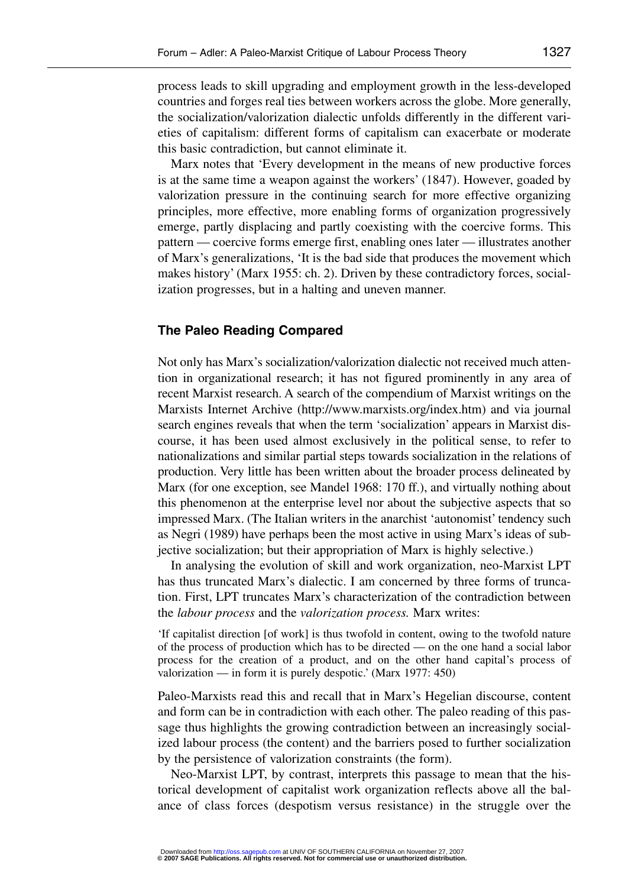process leads to skill upgrading and employment growth in the less-developed countries and forges real ties between workers across the globe. More generally, the socialization/valorization dialectic unfolds differently in the different varieties of capitalism: different forms of capitalism can exacerbate or moderate this basic contradiction, but cannot eliminate it.

Marx notes that 'Every development in the means of new productive forces is at the same time a weapon against the workers' (1847). However, goaded by valorization pressure in the continuing search for more effective organizing principles, more effective, more enabling forms of organization progressively emerge, partly displacing and partly coexisting with the coercive forms. This pattern — coercive forms emerge first, enabling ones later — illustrates another of Marx's generalizations, 'It is the bad side that produces the movement which makes history' (Marx 1955: ch. 2). Driven by these contradictory forces, socialization progresses, but in a halting and uneven manner.

#### **The Paleo Reading Compared**

Not only has Marx's socialization/valorization dialectic not received much attention in organizational research; it has not figured prominently in any area of recent Marxist research. A search of the compendium of Marxist writings on the Marxists Internet Archive (http://www.marxists.org/index.htm) and via journal search engines reveals that when the term 'socialization' appears in Marxist discourse, it has been used almost exclusively in the political sense, to refer to nationalizations and similar partial steps towards socialization in the relations of production. Very little has been written about the broader process delineated by Marx (for one exception, see Mandel 1968: 170 ff.), and virtually nothing about this phenomenon at the enterprise level nor about the subjective aspects that so impressed Marx. (The Italian writers in the anarchist 'autonomist' tendency such as Negri (1989) have perhaps been the most active in using Marx's ideas of subjective socialization; but their appropriation of Marx is highly selective.)

In analysing the evolution of skill and work organization, neo-Marxist LPT has thus truncated Marx's dialectic. I am concerned by three forms of truncation. First, LPT truncates Marx's characterization of the contradiction between the *labour process* and the *valorization process.* Marx writes:

'If capitalist direction [of work] is thus twofold in content, owing to the twofold nature of the process of production which has to be directed — on the one hand a social labor process for the creation of a product, and on the other hand capital's process of valorization — in form it is purely despotic.' (Marx 1977: 450)

Paleo-Marxists read this and recall that in Marx's Hegelian discourse, content and form can be in contradiction with each other. The paleo reading of this passage thus highlights the growing contradiction between an increasingly socialized labour process (the content) and the barriers posed to further socialization by the persistence of valorization constraints (the form).

Neo-Marxist LPT, by contrast, interprets this passage to mean that the historical development of capitalist work organization reflects above all the balance of class forces (despotism versus resistance) in the struggle over the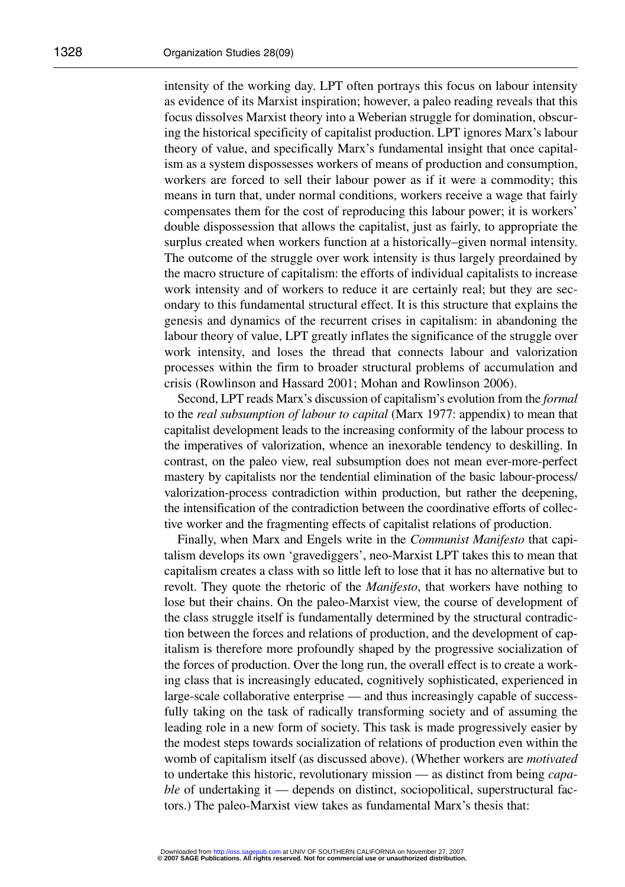intensity of the working day. LPT often portrays this focus on labour intensity as evidence of its Marxist inspiration; however, a paleo reading reveals that this focus dissolves Marxist theory into a Weberian struggle for domination, obscuring the historical specificity of capitalist production. LPT ignores Marx's labour theory of value, and specifically Marx's fundamental insight that once capitalism as a system dispossesses workers of means of production and consumption, workers are forced to sell their labour power as if it were a commodity; this means in turn that, under normal conditions, workers receive a wage that fairly compensates them for the cost of reproducing this labour power; it is workers' double dispossession that allows the capitalist, just as fairly, to appropriate the surplus created when workers function at a historically–given normal intensity. The outcome of the struggle over work intensity is thus largely preordained by the macro structure of capitalism: the efforts of individual capitalists to increase work intensity and of workers to reduce it are certainly real; but they are secondary to this fundamental structural effect. It is this structure that explains the genesis and dynamics of the recurrent crises in capitalism: in abandoning the labour theory of value, LPT greatly inflates the significance of the struggle over work intensity, and loses the thread that connects labour and valorization processes within the firm to broader structural problems of accumulation and crisis (Rowlinson and Hassard 2001; Mohan and Rowlinson 2006).

Second, LPT reads Marx's discussion of capitalism's evolution from the *formal* to the *real subsumption of labour to capital* (Marx 1977: appendix) to mean that capitalist development leads to the increasing conformity of the labour process to the imperatives of valorization, whence an inexorable tendency to deskilling. In contrast, on the paleo view, real subsumption does not mean ever-more-perfect mastery by capitalists nor the tendential elimination of the basic labour-process/ valorization-process contradiction within production, but rather the deepening, the intensification of the contradiction between the coordinative efforts of collective worker and the fragmenting effects of capitalist relations of production.

Finally, when Marx and Engels write in the *Communist Manifesto* that capitalism develops its own 'gravediggers', neo-Marxist LPT takes this to mean that capitalism creates a class with so little left to lose that it has no alternative but to revolt. They quote the rhetoric of the *Manifesto*, that workers have nothing to lose but their chains. On the paleo-Marxist view, the course of development of the class struggle itself is fundamentally determined by the structural contradiction between the forces and relations of production, and the development of capitalism is therefore more profoundly shaped by the progressive socialization of the forces of production. Over the long run, the overall effect is to create a working class that is increasingly educated, cognitively sophisticated, experienced in large-scale collaborative enterprise — and thus increasingly capable of successfully taking on the task of radically transforming society and of assuming the leading role in a new form of society. This task is made progressively easier by the modest steps towards socialization of relations of production even within the womb of capitalism itself (as discussed above). (Whether workers are *motivated* to undertake this historic, revolutionary mission — as distinct from being *capable* of undertaking it — depends on distinct, sociopolitical, superstructural factors.) The paleo-Marxist view takes as fundamental Marx's thesis that: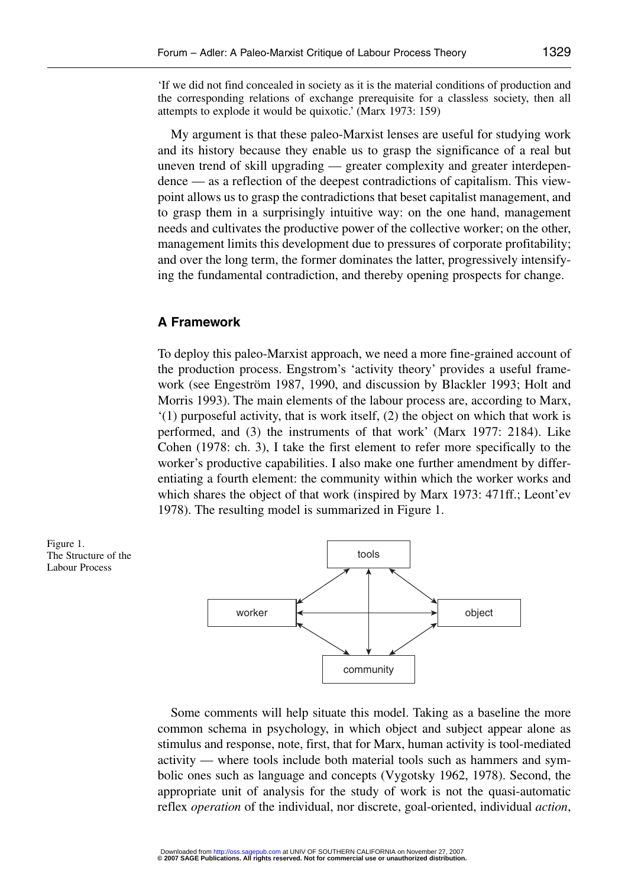'If we did not find concealed in society as it is the material conditions of production and the corresponding relations of exchange prerequisite for a classless society, then all attempts to explode it would be quixotic.' (Marx 1973: 159)

My argument is that these paleo-Marxist lenses are useful for studying work and its history because they enable us to grasp the significance of a real but uneven trend of skill upgrading — greater complexity and greater interdependence — as a reflection of the deepest contradictions of capitalism. This viewpoint allows us to grasp the contradictions that beset capitalist management, and to grasp them in a surprisingly intuitive way: on the one hand, management needs and cultivates the productive power of the collective worker; on the other, management limits this development due to pressures of corporate profitability; and over the long term, the former dominates the latter, progressively intensifying the fundamental contradiction, and thereby opening prospects for change.

# **A Framework**

To deploy this paleo-Marxist approach, we need a more fine-grained account of the production process. Engstrom's 'activity theory' provides a useful framework (see Engeström 1987, 1990, and discussion by Blackler 1993; Holt and Morris 1993). The main elements of the labour process are, according to Marx, '(1) purposeful activity, that is work itself, (2) the object on which that work is performed, and (3) the instruments of that work' (Marx 1977: 2184). Like Cohen (1978: ch. 3), I take the first element to refer more specifically to the worker's productive capabilities. I also make one further amendment by differentiating a fourth element: the community within which the worker works and which shares the object of that work (inspired by Marx 1973: 471ff.; Leont'ev 1978). The resulting model is summarized in Figure 1.





Some comments will help situate this model. Taking as a baseline the more common schema in psychology, in which object and subject appear alone as stimulus and response, note, first, that for Marx, human activity is tool-mediated activity — where tools include both material tools such as hammers and symbolic ones such as language and concepts (Vygotsky 1962, 1978). Second, the appropriate unit of analysis for the study of work is not the quasi-automatic reflex *operation* of the individual, nor discrete, goal-oriented, individual *action*,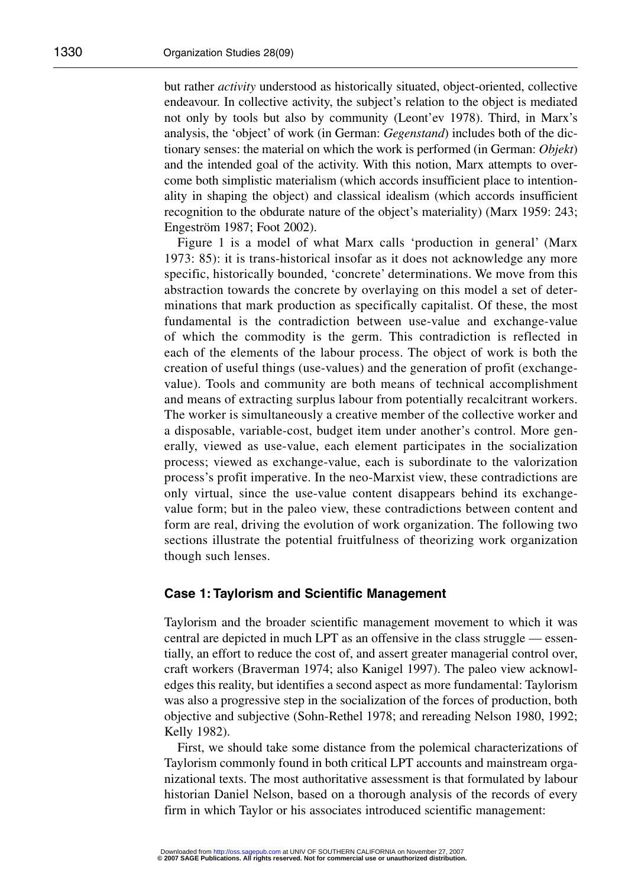but rather *activity* understood as historically situated, object-oriented, collective endeavour. In collective activity, the subject's relation to the object is mediated not only by tools but also by community (Leont'ev 1978). Third, in Marx's analysis, the 'object' of work (in German: *Gegenstand*) includes both of the dictionary senses: the material on which the work is performed (in German: *Objekt*) and the intended goal of the activity. With this notion, Marx attempts to overcome both simplistic materialism (which accords insufficient place to intentionality in shaping the object) and classical idealism (which accords insufficient recognition to the obdurate nature of the object's materiality) (Marx 1959: 243; Engeström 1987; Foot 2002).

Figure 1 is a model of what Marx calls 'production in general' (Marx 1973: 85): it is trans-historical insofar as it does not acknowledge any more specific, historically bounded, 'concrete' determinations. We move from this abstraction towards the concrete by overlaying on this model a set of determinations that mark production as specifically capitalist. Of these, the most fundamental is the contradiction between use-value and exchange-value of which the commodity is the germ. This contradiction is reflected in each of the elements of the labour process. The object of work is both the creation of useful things (use-values) and the generation of profit (exchangevalue). Tools and community are both means of technical accomplishment and means of extracting surplus labour from potentially recalcitrant workers. The worker is simultaneously a creative member of the collective worker and a disposable, variable-cost, budget item under another's control. More generally, viewed as use-value, each element participates in the socialization process; viewed as exchange-value, each is subordinate to the valorization process's profit imperative. In the neo-Marxist view, these contradictions are only virtual, since the use-value content disappears behind its exchangevalue form; but in the paleo view, these contradictions between content and form are real, driving the evolution of work organization. The following two sections illustrate the potential fruitfulness of theorizing work organization though such lenses.

#### **Case 1: Taylorism and Scientific Management**

Taylorism and the broader scientific management movement to which it was central are depicted in much LPT as an offensive in the class struggle — essentially, an effort to reduce the cost of, and assert greater managerial control over, craft workers (Braverman 1974; also Kanigel 1997). The paleo view acknowledges this reality, but identifies a second aspect as more fundamental: Taylorism was also a progressive step in the socialization of the forces of production, both objective and subjective (Sohn-Rethel 1978; and rereading Nelson 1980, 1992; Kelly 1982).

First, we should take some distance from the polemical characterizations of Taylorism commonly found in both critical LPT accounts and mainstream organizational texts. The most authoritative assessment is that formulated by labour historian Daniel Nelson, based on a thorough analysis of the records of every firm in which Taylor or his associates introduced scientific management:

**<sup>© 2007</sup> SAGE Publications. All rights reserved. Not for commercial use or unauthorized distribution.** Downloaded from<http://oss.sagepub.com>at UNIV OF SOUTHERN CALIFORNIA on November 27, 2007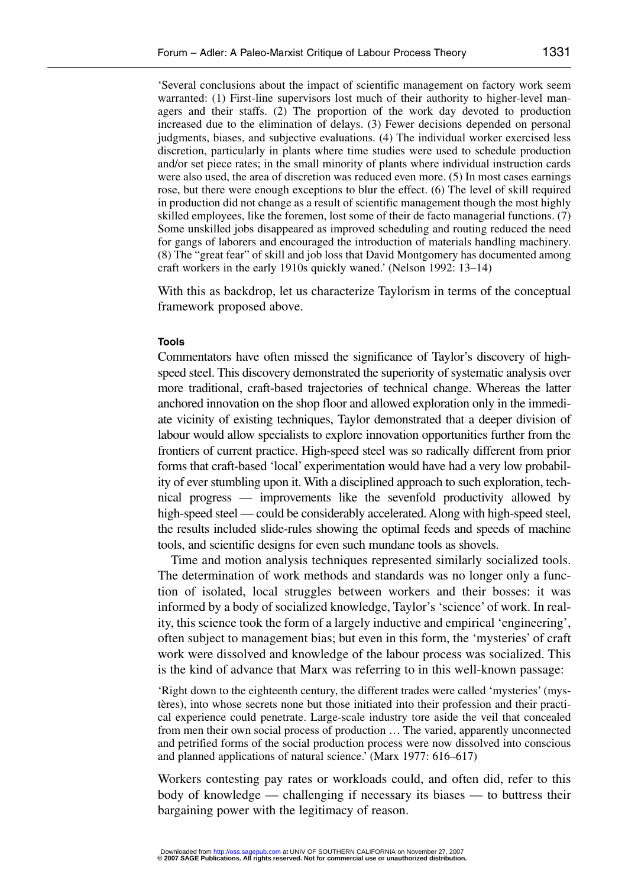'Several conclusions about the impact of scientific management on factory work seem warranted: (1) First-line supervisors lost much of their authority to higher-level managers and their staffs. (2) The proportion of the work day devoted to production increased due to the elimination of delays. (3) Fewer decisions depended on personal judgments, biases, and subjective evaluations. (4) The individual worker exercised less discretion, particularly in plants where time studies were used to schedule production and/or set piece rates; in the small minority of plants where individual instruction cards were also used, the area of discretion was reduced even more. (5) In most cases earnings rose, but there were enough exceptions to blur the effect. (6) The level of skill required in production did not change as a result of scientific management though the most highly skilled employees, like the foremen, lost some of their de facto managerial functions. (7) Some unskilled jobs disappeared as improved scheduling and routing reduced the need for gangs of laborers and encouraged the introduction of materials handling machinery. (8) The "great fear" of skill and job loss that David Montgomery has documented among craft workers in the early 1910s quickly waned.' (Nelson 1992: 13–14)

With this as backdrop, let us characterize Taylorism in terms of the conceptual framework proposed above.

#### **Tools**

Commentators have often missed the significance of Taylor's discovery of highspeed steel. This discovery demonstrated the superiority of systematic analysis over more traditional, craft-based trajectories of technical change. Whereas the latter anchored innovation on the shop floor and allowed exploration only in the immediate vicinity of existing techniques, Taylor demonstrated that a deeper division of labour would allow specialists to explore innovation opportunities further from the frontiers of current practice. High-speed steel was so radically different from prior forms that craft-based 'local' experimentation would have had a very low probability of ever stumbling upon it. With a disciplined approach to such exploration, technical progress — improvements like the sevenfold productivity allowed by high-speed steel — could be considerably accelerated. Along with high-speed steel, the results included slide-rules showing the optimal feeds and speeds of machine tools, and scientific designs for even such mundane tools as shovels.

Time and motion analysis techniques represented similarly socialized tools. The determination of work methods and standards was no longer only a function of isolated, local struggles between workers and their bosses: it was informed by a body of socialized knowledge, Taylor's 'science' of work. In reality, this science took the form of a largely inductive and empirical 'engineering', often subject to management bias; but even in this form, the 'mysteries' of craft work were dissolved and knowledge of the labour process was socialized. This is the kind of advance that Marx was referring to in this well-known passage:

'Right down to the eighteenth century, the different trades were called 'mysteries' (mystères), into whose secrets none but those initiated into their profession and their practical experience could penetrate. Large-scale industry tore aside the veil that concealed from men their own social process of production … The varied, apparently unconnected and petrified forms of the social production process were now dissolved into conscious and planned applications of natural science.' (Marx 1977: 616–617)

Workers contesting pay rates or workloads could, and often did, refer to this body of knowledge — challenging if necessary its biases — to buttress their bargaining power with the legitimacy of reason.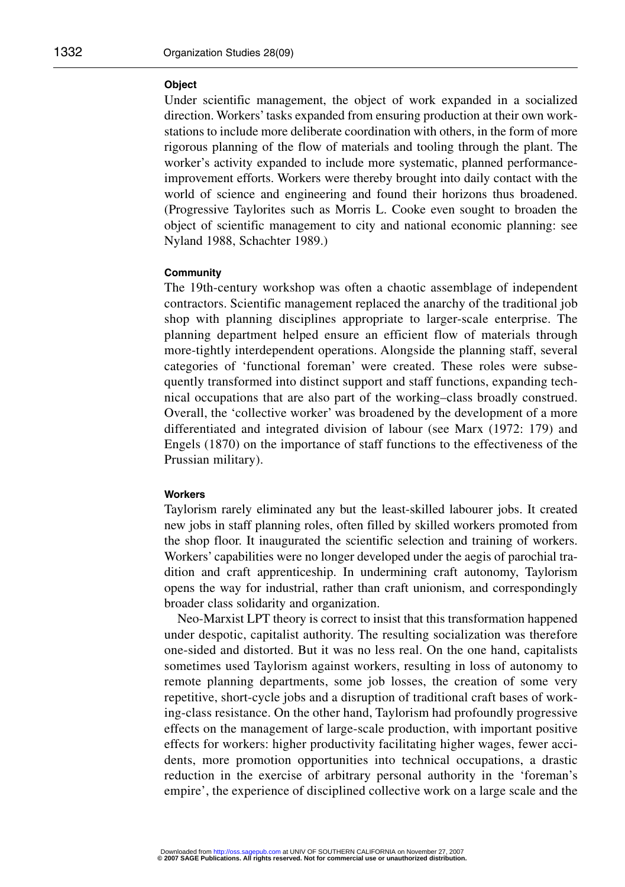#### **Object**

Under scientific management, the object of work expanded in a socialized direction. Workers' tasks expanded from ensuring production at their own workstations to include more deliberate coordination with others, in the form of more rigorous planning of the flow of materials and tooling through the plant. The worker's activity expanded to include more systematic, planned performanceimprovement efforts. Workers were thereby brought into daily contact with the world of science and engineering and found their horizons thus broadened. (Progressive Taylorites such as Morris L. Cooke even sought to broaden the object of scientific management to city and national economic planning: see Nyland 1988, Schachter 1989.)

#### **Community**

The 19th-century workshop was often a chaotic assemblage of independent contractors. Scientific management replaced the anarchy of the traditional job shop with planning disciplines appropriate to larger-scale enterprise. The planning department helped ensure an efficient flow of materials through more-tightly interdependent operations. Alongside the planning staff, several categories of 'functional foreman' were created. These roles were subsequently transformed into distinct support and staff functions, expanding technical occupations that are also part of the working–class broadly construed. Overall, the 'collective worker' was broadened by the development of a more differentiated and integrated division of labour (see Marx (1972: 179) and Engels (1870) on the importance of staff functions to the effectiveness of the Prussian military).

#### **Workers**

Taylorism rarely eliminated any but the least-skilled labourer jobs. It created new jobs in staff planning roles, often filled by skilled workers promoted from the shop floor. It inaugurated the scientific selection and training of workers. Workers' capabilities were no longer developed under the aegis of parochial tradition and craft apprenticeship. In undermining craft autonomy, Taylorism opens the way for industrial, rather than craft unionism, and correspondingly broader class solidarity and organization.

Neo-Marxist LPT theory is correct to insist that this transformation happened under despotic, capitalist authority. The resulting socialization was therefore one-sided and distorted. But it was no less real. On the one hand, capitalists sometimes used Taylorism against workers, resulting in loss of autonomy to remote planning departments, some job losses, the creation of some very repetitive, short-cycle jobs and a disruption of traditional craft bases of working-class resistance. On the other hand, Taylorism had profoundly progressive effects on the management of large-scale production, with important positive effects for workers: higher productivity facilitating higher wages, fewer accidents, more promotion opportunities into technical occupations, a drastic reduction in the exercise of arbitrary personal authority in the 'foreman's empire', the experience of disciplined collective work on a large scale and the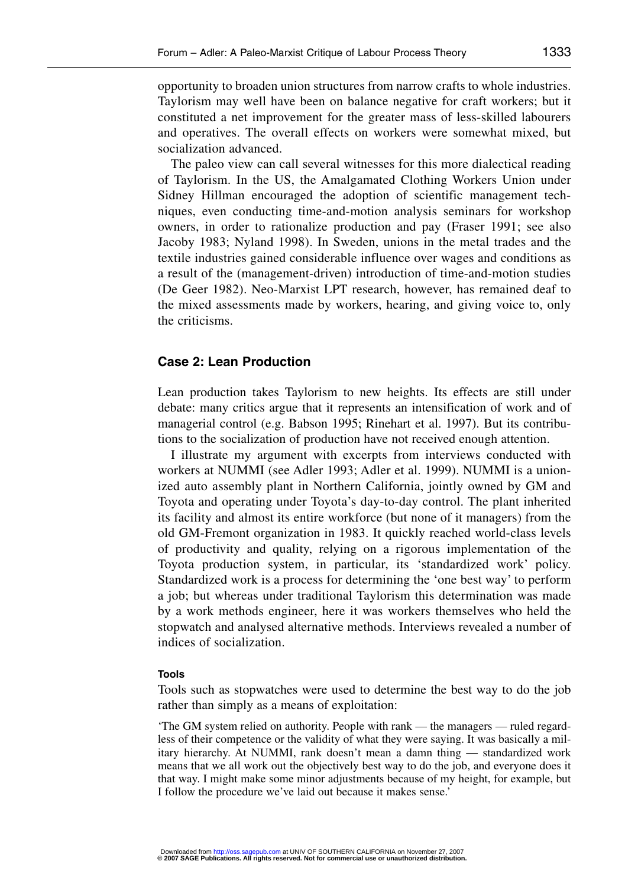opportunity to broaden union structures from narrow crafts to whole industries. Taylorism may well have been on balance negative for craft workers; but it constituted a net improvement for the greater mass of less-skilled labourers and operatives. The overall effects on workers were somewhat mixed, but socialization advanced.

The paleo view can call several witnesses for this more dialectical reading of Taylorism. In the US, the Amalgamated Clothing Workers Union under Sidney Hillman encouraged the adoption of scientific management techniques, even conducting time-and-motion analysis seminars for workshop owners, in order to rationalize production and pay (Fraser 1991; see also Jacoby 1983; Nyland 1998). In Sweden, unions in the metal trades and the textile industries gained considerable influence over wages and conditions as a result of the (management-driven) introduction of time-and-motion studies (De Geer 1982). Neo-Marxist LPT research, however, has remained deaf to the mixed assessments made by workers, hearing, and giving voice to, only the criticisms.

# **Case 2: Lean Production**

Lean production takes Taylorism to new heights. Its effects are still under debate: many critics argue that it represents an intensification of work and of managerial control (e.g. Babson 1995; Rinehart et al. 1997). But its contributions to the socialization of production have not received enough attention.

I illustrate my argument with excerpts from interviews conducted with workers at NUMMI (see Adler 1993; Adler et al. 1999). NUMMI is a unionized auto assembly plant in Northern California, jointly owned by GM and Toyota and operating under Toyota's day-to-day control. The plant inherited its facility and almost its entire workforce (but none of it managers) from the old GM-Fremont organization in 1983. It quickly reached world-class levels of productivity and quality, relying on a rigorous implementation of the Toyota production system, in particular, its 'standardized work' policy. Standardized work is a process for determining the 'one best way' to perform a job; but whereas under traditional Taylorism this determination was made by a work methods engineer, here it was workers themselves who held the stopwatch and analysed alternative methods. Interviews revealed a number of indices of socialization.

#### **Tools**

Tools such as stopwatches were used to determine the best way to do the job rather than simply as a means of exploitation:

'The GM system relied on authority. People with rank — the managers — ruled regardless of their competence or the validity of what they were saying. It was basically a military hierarchy. At NUMMI, rank doesn't mean a damn thing — standardized work means that we all work out the objectively best way to do the job, and everyone does it that way. I might make some minor adjustments because of my height, for example, but I follow the procedure we've laid out because it makes sense.'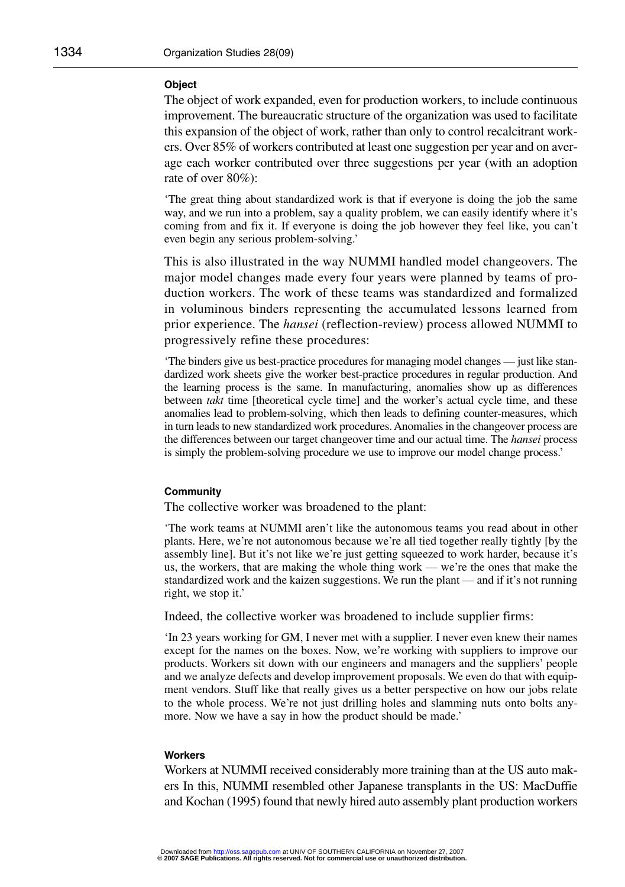#### **Object**

The object of work expanded, even for production workers, to include continuous improvement. The bureaucratic structure of the organization was used to facilitate this expansion of the object of work, rather than only to control recalcitrant workers. Over 85% of workers contributed at least one suggestion per year and on average each worker contributed over three suggestions per year (with an adoption rate of over 80%):

'The great thing about standardized work is that if everyone is doing the job the same way, and we run into a problem, say a quality problem, we can easily identify where it's coming from and fix it. If everyone is doing the job however they feel like, you can't even begin any serious problem-solving.'

This is also illustrated in the way NUMMI handled model changeovers. The major model changes made every four years were planned by teams of production workers. The work of these teams was standardized and formalized in voluminous binders representing the accumulated lessons learned from prior experience. The *hansei* (reflection-review) process allowed NUMMI to progressively refine these procedures:

'The binders give us best-practice procedures for managing model changes — just like standardized work sheets give the worker best-practice procedures in regular production. And the learning process is the same. In manufacturing, anomalies show up as differences between *takt* time [theoretical cycle time] and the worker's actual cycle time, and these anomalies lead to problem-solving, which then leads to defining counter-measures, which in turn leads to new standardized work procedures. Anomalies in the changeover process are the differences between our target changeover time and our actual time. The *hansei* process is simply the problem-solving procedure we use to improve our model change process.'

#### **Community**

The collective worker was broadened to the plant:

'The work teams at NUMMI aren't like the autonomous teams you read about in other plants. Here, we're not autonomous because we're all tied together really tightly [by the assembly line]. But it's not like we're just getting squeezed to work harder, because it's us, the workers, that are making the whole thing work — we're the ones that make the standardized work and the kaizen suggestions. We run the plant — and if it's not running right, we stop it.'

Indeed, the collective worker was broadened to include supplier firms:

'In 23 years working for GM, I never met with a supplier. I never even knew their names except for the names on the boxes. Now, we're working with suppliers to improve our products. Workers sit down with our engineers and managers and the suppliers' people and we analyze defects and develop improvement proposals. We even do that with equipment vendors. Stuff like that really gives us a better perspective on how our jobs relate to the whole process. We're not just drilling holes and slamming nuts onto bolts anymore. Now we have a say in how the product should be made.'

#### **Workers**

Workers at NUMMI received considerably more training than at the US auto makers In this, NUMMI resembled other Japanese transplants in the US: MacDuffie and Kochan (1995) found that newly hired auto assembly plant production workers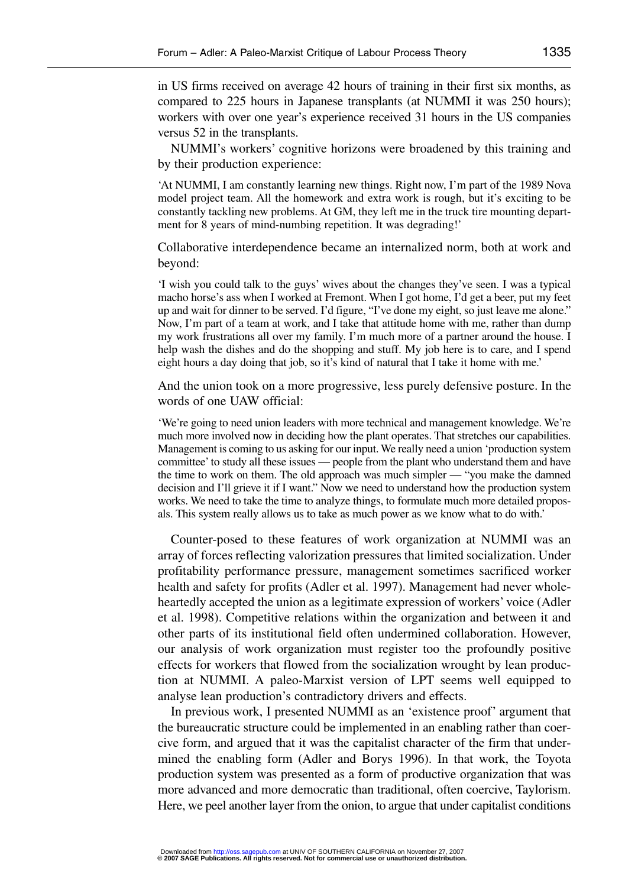in US firms received on average 42 hours of training in their first six months, as compared to 225 hours in Japanese transplants (at NUMMI it was 250 hours); workers with over one year's experience received 31 hours in the US companies versus 52 in the transplants.

NUMMI's workers' cognitive horizons were broadened by this training and by their production experience:

'At NUMMI, I am constantly learning new things. Right now, I'm part of the 1989 Nova model project team. All the homework and extra work is rough, but it's exciting to be constantly tackling new problems. At GM, they left me in the truck tire mounting department for 8 years of mind-numbing repetition. It was degrading!'

Collaborative interdependence became an internalized norm, both at work and beyond:

'I wish you could talk to the guys' wives about the changes they've seen. I was a typical macho horse's ass when I worked at Fremont. When I got home, I'd get a beer, put my feet up and wait for dinner to be served. I'd figure, "I've done my eight, so just leave me alone." Now, I'm part of a team at work, and I take that attitude home with me, rather than dump my work frustrations all over my family. I'm much more of a partner around the house. I help wash the dishes and do the shopping and stuff. My job here is to care, and I spend eight hours a day doing that job, so it's kind of natural that I take it home with me.'

And the union took on a more progressive, less purely defensive posture. In the words of one UAW official:

'We're going to need union leaders with more technical and management knowledge. We're much more involved now in deciding how the plant operates. That stretches our capabilities. Management is coming to us asking for our input. We really need a union 'production system committee' to study all these issues — people from the plant who understand them and have the time to work on them. The old approach was much simpler — "you make the damned decision and I'll grieve it if I want." Now we need to understand how the production system works. We need to take the time to analyze things, to formulate much more detailed proposals. This system really allows us to take as much power as we know what to do with.'

Counter-posed to these features of work organization at NUMMI was an array of forces reflecting valorization pressures that limited socialization. Under profitability performance pressure, management sometimes sacrificed worker health and safety for profits (Adler et al. 1997). Management had never wholeheartedly accepted the union as a legitimate expression of workers' voice (Adler et al. 1998). Competitive relations within the organization and between it and other parts of its institutional field often undermined collaboration. However, our analysis of work organization must register too the profoundly positive effects for workers that flowed from the socialization wrought by lean production at NUMMI. A paleo-Marxist version of LPT seems well equipped to analyse lean production's contradictory drivers and effects.

In previous work, I presented NUMMI as an 'existence proof' argument that the bureaucratic structure could be implemented in an enabling rather than coercive form, and argued that it was the capitalist character of the firm that undermined the enabling form (Adler and Borys 1996). In that work, the Toyota production system was presented as a form of productive organization that was more advanced and more democratic than traditional, often coercive, Taylorism. Here, we peel another layer from the onion, to argue that under capitalist conditions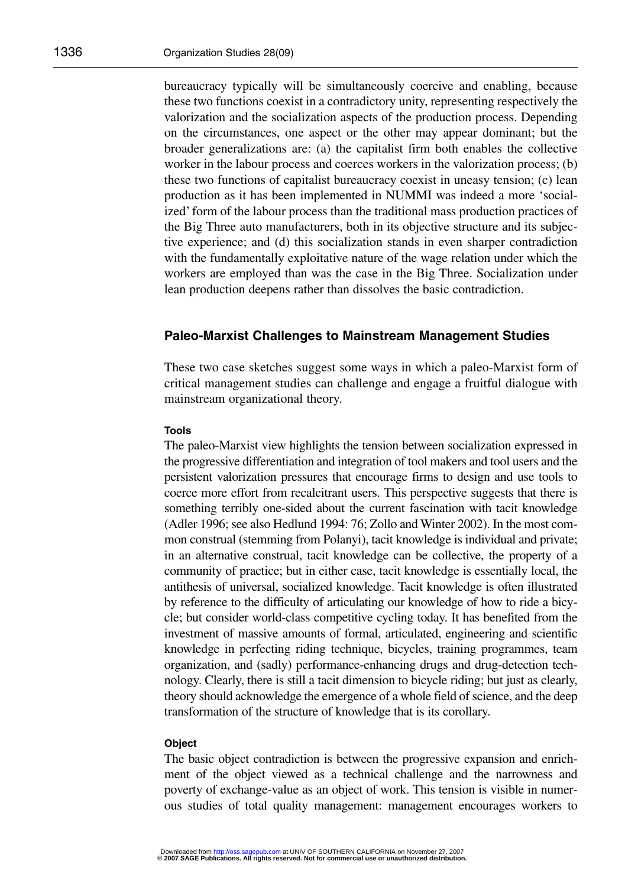bureaucracy typically will be simultaneously coercive and enabling, because these two functions coexist in a contradictory unity, representing respectively the valorization and the socialization aspects of the production process. Depending on the circumstances, one aspect or the other may appear dominant; but the broader generalizations are: (a) the capitalist firm both enables the collective worker in the labour process and coerces workers in the valorization process; (b) these two functions of capitalist bureaucracy coexist in uneasy tension; (c) lean production as it has been implemented in NUMMI was indeed a more 'socialized' form of the labour process than the traditional mass production practices of the Big Three auto manufacturers, both in its objective structure and its subjective experience; and (d) this socialization stands in even sharper contradiction with the fundamentally exploitative nature of the wage relation under which the workers are employed than was the case in the Big Three. Socialization under lean production deepens rather than dissolves the basic contradiction.

# **Paleo-Marxist Challenges to Mainstream Management Studies**

These two case sketches suggest some ways in which a paleo-Marxist form of critical management studies can challenge and engage a fruitful dialogue with mainstream organizational theory.

#### **Tools**

The paleo-Marxist view highlights the tension between socialization expressed in the progressive differentiation and integration of tool makers and tool users and the persistent valorization pressures that encourage firms to design and use tools to coerce more effort from recalcitrant users. This perspective suggests that there is something terribly one-sided about the current fascination with tacit knowledge (Adler 1996; see also Hedlund 1994: 76; Zollo and Winter 2002). In the most common construal (stemming from Polanyi), tacit knowledge is individual and private; in an alternative construal, tacit knowledge can be collective, the property of a community of practice; but in either case, tacit knowledge is essentially local, the antithesis of universal, socialized knowledge. Tacit knowledge is often illustrated by reference to the difficulty of articulating our knowledge of how to ride a bicycle; but consider world-class competitive cycling today. It has benefited from the investment of massive amounts of formal, articulated, engineering and scientific knowledge in perfecting riding technique, bicycles, training programmes, team organization, and (sadly) performance-enhancing drugs and drug-detection technology. Clearly, there is still a tacit dimension to bicycle riding; but just as clearly, theory should acknowledge the emergence of a whole field of science, and the deep transformation of the structure of knowledge that is its corollary.

#### **Object**

The basic object contradiction is between the progressive expansion and enrichment of the object viewed as a technical challenge and the narrowness and poverty of exchange-value as an object of work. This tension is visible in numerous studies of total quality management: management encourages workers to

**© 2007 SAGE Publications. All rights reserved. Not for commercial use or unauthorized distribution.** Downloaded from<http://oss.sagepub.com>at UNIV OF SOUTHERN CALIFORNIA on November 27, 2007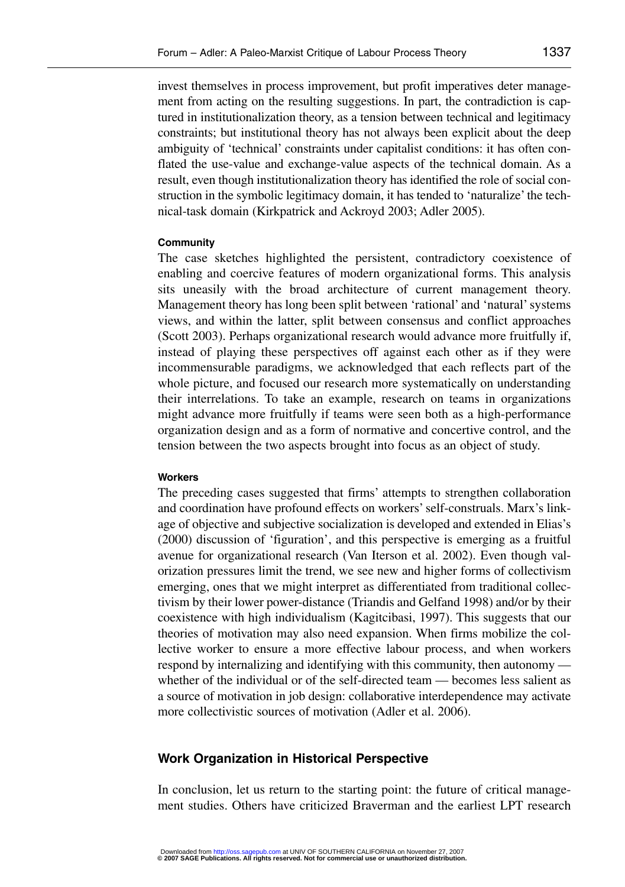invest themselves in process improvement, but profit imperatives deter management from acting on the resulting suggestions. In part, the contradiction is captured in institutionalization theory, as a tension between technical and legitimacy constraints; but institutional theory has not always been explicit about the deep ambiguity of 'technical' constraints under capitalist conditions: it has often conflated the use-value and exchange-value aspects of the technical domain. As a result, even though institutionalization theory has identified the role of social construction in the symbolic legitimacy domain, it has tended to 'naturalize' the technical-task domain (Kirkpatrick and Ackroyd 2003; Adler 2005).

# **Community**

The case sketches highlighted the persistent, contradictory coexistence of enabling and coercive features of modern organizational forms. This analysis sits uneasily with the broad architecture of current management theory. Management theory has long been split between 'rational' and 'natural' systems views, and within the latter, split between consensus and conflict approaches (Scott 2003). Perhaps organizational research would advance more fruitfully if, instead of playing these perspectives off against each other as if they were incommensurable paradigms, we acknowledged that each reflects part of the whole picture, and focused our research more systematically on understanding their interrelations. To take an example, research on teams in organizations might advance more fruitfully if teams were seen both as a high-performance organization design and as a form of normative and concertive control, and the tension between the two aspects brought into focus as an object of study.

#### **Workers**

The preceding cases suggested that firms' attempts to strengthen collaboration and coordination have profound effects on workers' self-construals. Marx's linkage of objective and subjective socialization is developed and extended in Elias's (2000) discussion of 'figuration', and this perspective is emerging as a fruitful avenue for organizational research (Van Iterson et al. 2002). Even though valorization pressures limit the trend, we see new and higher forms of collectivism emerging, ones that we might interpret as differentiated from traditional collectivism by their lower power-distance (Triandis and Gelfand 1998) and/or by their coexistence with high individualism (Kagitcibasi, 1997). This suggests that our theories of motivation may also need expansion. When firms mobilize the collective worker to ensure a more effective labour process, and when workers respond by internalizing and identifying with this community, then autonomy whether of the individual or of the self-directed team — becomes less salient as a source of motivation in job design: collaborative interdependence may activate more collectivistic sources of motivation (Adler et al. 2006).

# **Work Organization in Historical Perspective**

In conclusion, let us return to the starting point: the future of critical management studies. Others have criticized Braverman and the earliest LPT research

**<sup>© 2007</sup> SAGE Publications. All rights reserved. Not for commercial use or unauthorized distribution.** Downloaded from<http://oss.sagepub.com>at UNIV OF SOUTHERN CALIFORNIA on November 27, 2007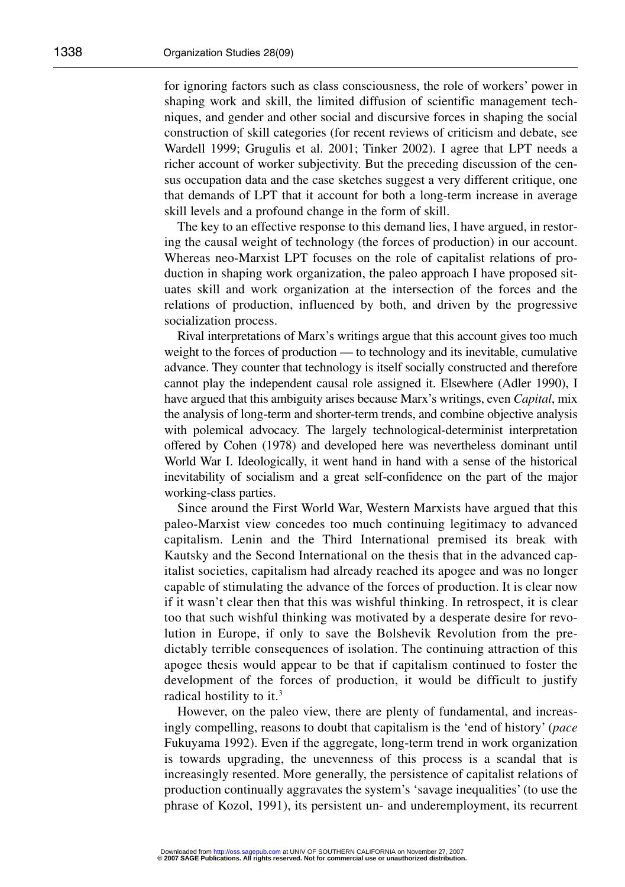for ignoring factors such as class consciousness, the role of workers' power in shaping work and skill, the limited diffusion of scientific management techniques, and gender and other social and discursive forces in shaping the social construction of skill categories (for recent reviews of criticism and debate, see Wardell 1999; Grugulis et al. 2001; Tinker 2002). I agree that LPT needs a richer account of worker subjectivity. But the preceding discussion of the census occupation data and the case sketches suggest a very different critique, one that demands of LPT that it account for both a long-term increase in average skill levels and a profound change in the form of skill.

The key to an effective response to this demand lies, I have argued, in restoring the causal weight of technology (the forces of production) in our account. Whereas neo-Marxist LPT focuses on the role of capitalist relations of production in shaping work organization, the paleo approach I have proposed situates skill and work organization at the intersection of the forces and the relations of production, influenced by both, and driven by the progressive socialization process.

Rival interpretations of Marx's writings argue that this account gives too much weight to the forces of production — to technology and its inevitable, cumulative advance. They counter that technology is itself socially constructed and therefore cannot play the independent causal role assigned it. Elsewhere (Adler 1990), I have argued that this ambiguity arises because Marx's writings, even *Capital*, mix the analysis of long-term and shorter-term trends, and combine objective analysis with polemical advocacy. The largely technological-determinist interpretation offered by Cohen (1978) and developed here was nevertheless dominant until World War I. Ideologically, it went hand in hand with a sense of the historical inevitability of socialism and a great self-confidence on the part of the major working-class parties.

Since around the First World War, Western Marxists have argued that this paleo-Marxist view concedes too much continuing legitimacy to advanced capitalism. Lenin and the Third International premised its break with Kautsky and the Second International on the thesis that in the advanced capitalist societies, capitalism had already reached its apogee and was no longer capable of stimulating the advance of the forces of production. It is clear now if it wasn't clear then that this was wishful thinking. In retrospect, it is clear too that such wishful thinking was motivated by a desperate desire for revolution in Europe, if only to save the Bolshevik Revolution from the predictably terrible consequences of isolation. The continuing attraction of this apogee thesis would appear to be that if capitalism continued to foster the development of the forces of production, it would be difficult to justify radical hostility to it.<sup>3</sup>

However, on the paleo view, there are plenty of fundamental, and increasingly compelling, reasons to doubt that capitalism is the 'end of history' (*pace* Fukuyama 1992). Even if the aggregate, long-term trend in work organization is towards upgrading, the unevenness of this process is a scandal that is increasingly resented. More generally, the persistence of capitalist relations of production continually aggravates the system's 'savage inequalities' (to use the phrase of Kozol, 1991), its persistent un- and underemployment, its recurrent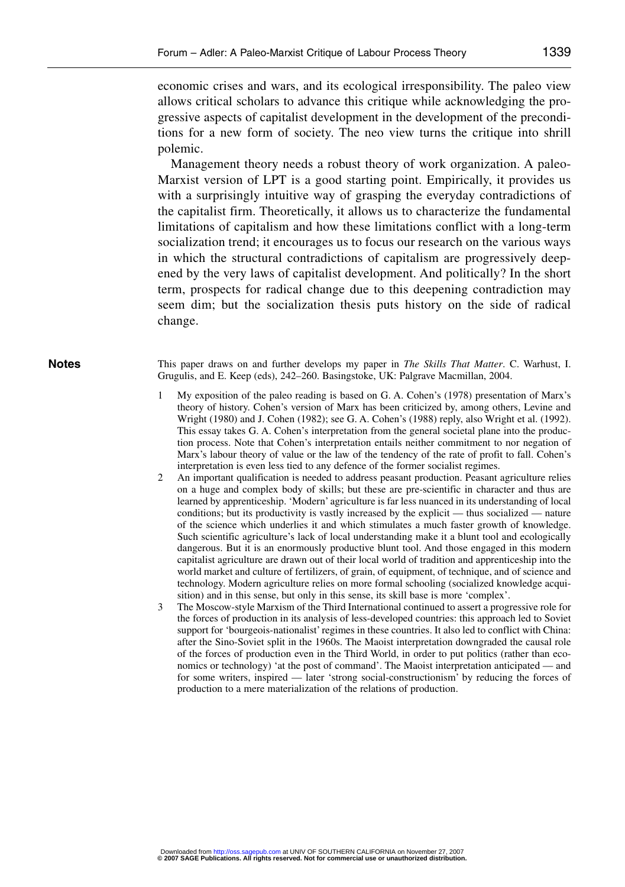economic crises and wars, and its ecological irresponsibility. The paleo view allows critical scholars to advance this critique while acknowledging the progressive aspects of capitalist development in the development of the preconditions for a new form of society. The neo view turns the critique into shrill polemic.

Management theory needs a robust theory of work organization. A paleo-Marxist version of LPT is a good starting point. Empirically, it provides us with a surprisingly intuitive way of grasping the everyday contradictions of the capitalist firm. Theoretically, it allows us to characterize the fundamental limitations of capitalism and how these limitations conflict with a long-term socialization trend; it encourages us to focus our research on the various ways in which the structural contradictions of capitalism are progressively deepened by the very laws of capitalist development. And politically? In the short term, prospects for radical change due to this deepening contradiction may seem dim; but the socialization thesis puts history on the side of radical change.

This paper draws on and further develops my paper in *The Skills That Matter*. C. Warhust, I. Grugulis, and E. Keep (eds), 242–260. Basingstoke, UK: Palgrave Macmillan, 2004.

**Notes**

- 1 My exposition of the paleo reading is based on G. A. Cohen's (1978) presentation of Marx's theory of history. Cohen's version of Marx has been criticized by, among others, Levine and Wright (1980) and J. Cohen (1982); see G. A. Cohen's (1988) reply, also Wright et al. (1992). This essay takes G. A. Cohen's interpretation from the general societal plane into the production process. Note that Cohen's interpretation entails neither commitment to nor negation of Marx's labour theory of value or the law of the tendency of the rate of profit to fall. Cohen's interpretation is even less tied to any defence of the former socialist regimes.
- 2 An important qualification is needed to address peasant production. Peasant agriculture relies on a huge and complex body of skills; but these are pre-scientific in character and thus are learned by apprenticeship. 'Modern' agriculture is far less nuanced in its understanding of local conditions; but its productivity is vastly increased by the explicit — thus socialized — nature of the science which underlies it and which stimulates a much faster growth of knowledge. Such scientific agriculture's lack of local understanding make it a blunt tool and ecologically dangerous. But it is an enormously productive blunt tool. And those engaged in this modern capitalist agriculture are drawn out of their local world of tradition and apprenticeship into the world market and culture of fertilizers, of grain, of equipment, of technique, and of science and technology. Modern agriculture relies on more formal schooling (socialized knowledge acquisition) and in this sense, but only in this sense, its skill base is more 'complex'.
- 3 The Moscow-style Marxism of the Third International continued to assert a progressive role for the forces of production in its analysis of less-developed countries: this approach led to Soviet support for 'bourgeois-nationalist' regimes in these countries. It also led to conflict with China: after the Sino-Soviet split in the 1960s. The Maoist interpretation downgraded the causal role of the forces of production even in the Third World, in order to put politics (rather than economics or technology) 'at the post of command'. The Maoist interpretation anticipated — and for some writers, inspired — later 'strong social-constructionism' by reducing the forces of production to a mere materialization of the relations of production.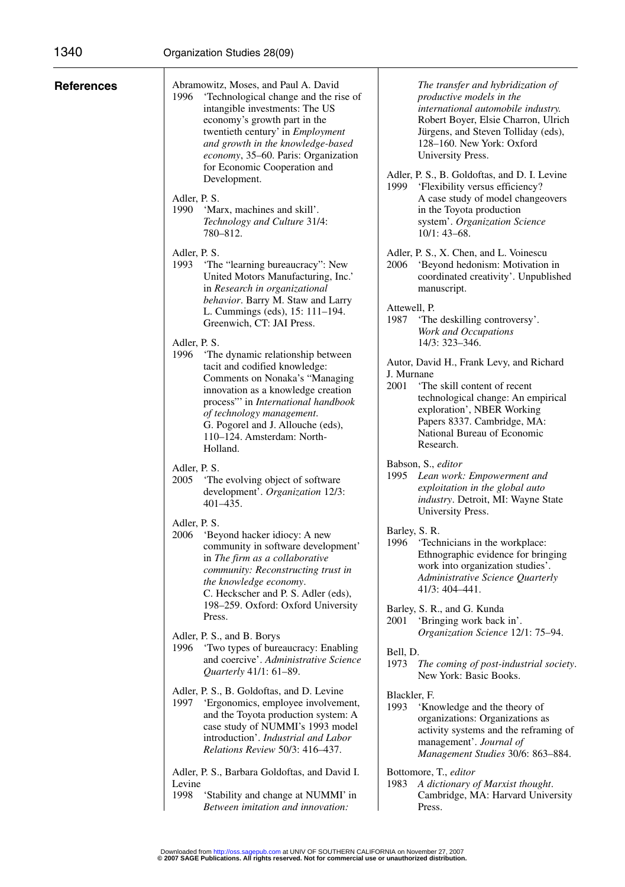| <b>References</b> | Abramowitz, Moses, and Paul A. David<br>1996<br>'Technological change and the rise of<br>intangible investments: The US<br>economy's growth part in the<br>twentieth century' in Employment<br>and growth in the knowledge-based<br>economy, 35-60. Paris: Organization<br>for Economic Cooperation and<br>Development.<br>Adler, P. S.<br>1990<br>'Marx, machines and skill'.<br>Technology and Culture 31/4:<br>780-812. | The transfer and hybridization of<br>productive models in the<br>international automobile industry.<br>Robert Boyer, Elsie Charron, Ulrich<br>Jürgens, and Steven Tolliday (eds),<br>128-160. New York: Oxford<br>University Press.<br>Adler, P. S., B. Goldoftas, and D. I. Levine<br>'Flexibility versus efficiency?<br>1999<br>A case study of model changeovers<br>in the Toyota production<br>system'. Organization Science<br>$10/1:43-68.$ |
|-------------------|----------------------------------------------------------------------------------------------------------------------------------------------------------------------------------------------------------------------------------------------------------------------------------------------------------------------------------------------------------------------------------------------------------------------------|---------------------------------------------------------------------------------------------------------------------------------------------------------------------------------------------------------------------------------------------------------------------------------------------------------------------------------------------------------------------------------------------------------------------------------------------------|
|                   | Adler, P. S.<br>1993<br>'The "learning bureaucracy": New<br>United Motors Manufacturing, Inc.'<br>in Research in organizational<br>behavior. Barry M. Staw and Larry<br>L. Cummings (eds), 15: 111–194.<br>Greenwich, CT: JAI Press.                                                                                                                                                                                       | Adler, P. S., X. Chen, and L. Voinescu<br>2006<br>'Beyond hedonism: Motivation in<br>coordinated creativity'. Unpublished<br>manuscript.<br>Attewell, P.<br>1987<br>'The deskilling controversy'.                                                                                                                                                                                                                                                 |
|                   | Adler, P. S.<br>1996<br>'The dynamic relationship between<br>tacit and codified knowledge:<br>Comments on Nonaka's "Managing<br>innovation as a knowledge creation<br>process" in International handbook<br>of technology management.<br>G. Pogorel and J. Allouche (eds),<br>110-124. Amsterdam: North-<br>Holland.                                                                                                       | Work and Occupations<br>14/3: 323-346.<br>Autor, David H., Frank Levy, and Richard<br>J. Murnane<br>'The skill content of recent<br>2001<br>technological change: An empirical<br>exploration', NBER Working<br>Papers 8337. Cambridge, MA:<br>National Bureau of Economic<br>Research.                                                                                                                                                           |
|                   | Adler, P. S.<br>'The evolving object of software<br>2005<br>development'. Organization 12/3:<br>$401 - 435$ .                                                                                                                                                                                                                                                                                                              | Babson, S., editor<br>Lean work: Empowerment and<br>1995<br>exploitation in the global auto<br><i>industry</i> . Detroit, MI: Wayne State<br>University Press.                                                                                                                                                                                                                                                                                    |
|                   | Adler, P. S.<br>2006<br>'Beyond hacker idiocy: A new<br>community in software development'<br>in The firm as a collaborative<br>community: Reconstructing trust in<br>the knowledge economy.<br>C. Heckscher and P. S. Adler (eds),<br>198–259. Oxford: Oxford University<br>Press.                                                                                                                                        | Barley, S. R.<br>1996<br>'Technicians in the workplace:<br>Ethnographic evidence for bringing<br>work into organization studies'.<br>Administrative Science Quarterly<br>41/3: 404-441.<br>Barley, S. R., and G. Kunda                                                                                                                                                                                                                            |
|                   | Adler, P. S., and B. Borys<br>1996 'Two types of bureaucracy: Enabling<br>and coercive'. Administrative Science<br><i>Ouarterly</i> 41/1: 61-89.                                                                                                                                                                                                                                                                           | 2001<br>'Bringing work back in'.<br>Organization Science 12/1: 75–94.<br>Bell, D.<br>1973<br>The coming of post-industrial society.<br>New York: Basic Books.                                                                                                                                                                                                                                                                                     |
|                   | Adler, P. S., B. Goldoftas, and D. Levine<br>'Ergonomics, employee involvement,<br>1997<br>and the Toyota production system: A<br>case study of NUMMI's 1993 model<br>introduction'. Industrial and Labor<br>Relations Review 50/3: 416–437.                                                                                                                                                                               | Blackler, F.<br>1993<br>'Knowledge and the theory of<br>organizations: Organizations as<br>activity systems and the reframing of<br>management'. Journal of<br>Management Studies 30/6: 863-884.                                                                                                                                                                                                                                                  |
|                   | Adler, P. S., Barbara Goldoftas, and David I.<br>Levine<br>1998<br>'Stability and change at NUMMI' in<br>Between imitation and innovation:                                                                                                                                                                                                                                                                                 | Bottomore, T., editor<br>A dictionary of Marxist thought.<br>1983<br>Cambridge, MA: Harvard University<br>Press.                                                                                                                                                                                                                                                                                                                                  |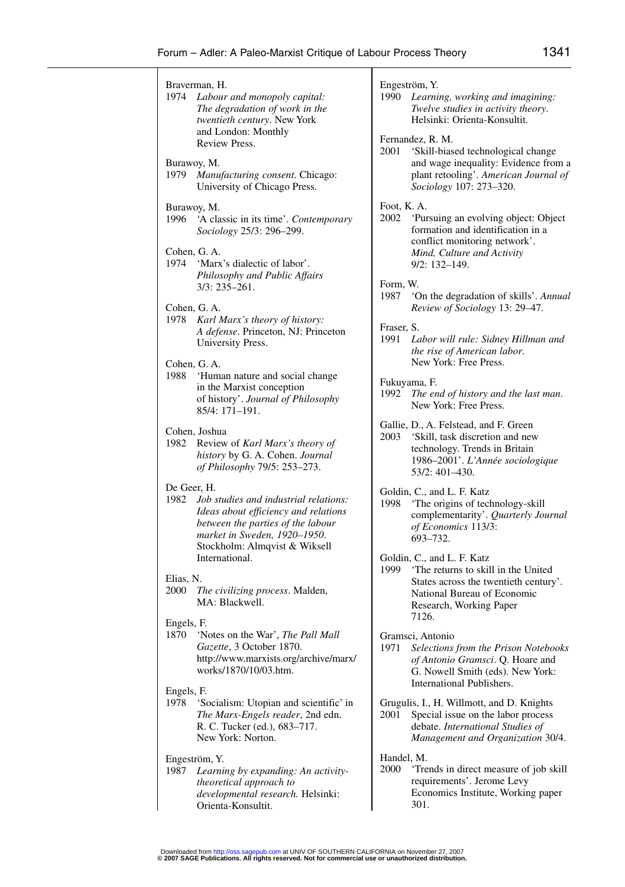Ť

|                     | Braverman, H.<br>1974 Labour and monopoly capital:<br>The degradation of work in the<br>twentieth century. New York                                                                 | 1990               | Engeström, Y.<br>Learning, working and imagining:<br>Twelve studies in activity theory.<br>Helsinki: Orienta-Konsultit.                                                               |  |
|---------------------|-------------------------------------------------------------------------------------------------------------------------------------------------------------------------------------|--------------------|---------------------------------------------------------------------------------------------------------------------------------------------------------------------------------------|--|
| Burawoy, M.         | and London: Monthly<br>Review Press.                                                                                                                                                | 2001               | Fernandez, R. M.<br>'Skill-biased technological change<br>and wage inequality: Evidence from a                                                                                        |  |
| 1979                | Manufacturing consent. Chicago:<br>University of Chicago Press.                                                                                                                     |                    | plant retooling'. American Journal of<br>Sociology 107: 273-320.                                                                                                                      |  |
| Burawoy, M.<br>1996 | 'A classic in its time'. Contemporary<br>Sociology 25/3: 296-299.                                                                                                                   | Foot, K.A.<br>2002 | 'Pursuing an evolving object: Object<br>formation and identification in a<br>conflict monitoring network'.<br>Mind, Culture and Activity<br>$9/2: 132 - 149.$                         |  |
| 1974                | Cohen, G. A.<br>'Marx's dialectic of labor'.<br>Philosophy and Public Affairs                                                                                                       |                    |                                                                                                                                                                                       |  |
|                     | $3/3: 235 - 261.$<br>Cohen, G. A.                                                                                                                                                   | Form, W.<br>1987   | 'On the degradation of skills'. Annual<br>Review of Sociology 13: 29-47.                                                                                                              |  |
| 1978                | Karl Marx's theory of history:<br>A defense. Princeton, NJ: Princeton<br>University Press.                                                                                          | Fraser, S.         | 1991 Labor will rule: Sidney Hillman and<br>the rise of American labor.                                                                                                               |  |
| 1988                | Cohen, G. A.<br>'Human nature and social change<br>in the Marxist conception<br>of history'. Journal of Philosophy<br>85/4: 171-191.                                                | 1992               | New York: Free Press.<br>Fukuyama, F.<br>The end of history and the last man.<br>New York: Free Press.                                                                                |  |
| 1982                | Cohen, Joshua<br>Review of Karl Marx's theory of<br>history by G. A. Cohen. Journal<br>of Philosophy 79/5: 253-273.                                                                 |                    | Gallie, D., A. Felstead, and F. Green<br>2003 'Skill, task discretion and new<br>technology. Trends in Britain<br>1986-2001'. L'Année sociologique<br>53/2: 401-430.                  |  |
| De Geer, H.<br>1982 | Job studies and industrial relations:<br>Ideas about efficiency and relations<br>between the parties of the labour<br>market in Sweden, 1920-1950.<br>Stockholm: Almqvist & Wiksell | 1998               | Goldin, C., and L. F. Katz<br>'The origins of technology-skill<br>complementarity'. Quarterly Journal<br>of Economics 113/3:<br>693-732.                                              |  |
|                     | International.                                                                                                                                                                      | 1999               | Goldin, C., and L. F. Katz<br>'The returns to skill in the United                                                                                                                     |  |
| Elias, N.<br>2000   | The civilizing process. Malden,<br>MA: Blackwell.                                                                                                                                   |                    | States across the twentieth century'.<br>National Bureau of Economic<br>Research, Working Paper<br>7126.                                                                              |  |
| Engels, F.<br>1870  | 'Notes on the War', The Pall Mall<br>Gazette, 3 October 1870.<br>http://www.marxists.org/archive/marx/<br>works/1870/10/03.htm.                                                     | 1971               | Gramsci, Antonio<br>Selections from the Prison Notebooks<br>of Antonio Gramsci. Q. Hoare and<br>G. Nowell Smith (eds). New York:                                                      |  |
| Engels, F.<br>1978  | 'Socialism: Utopian and scientific' in<br>The Marx-Engels reader, 2nd edn.<br>R. C. Tucker (ed.), 683-717.<br>New York: Norton.                                                     | 2001               | International Publishers.<br>Grugulis, I., H. Willmott, and D. Knights<br>Special issue on the labor process<br>debate. International Studies of<br>Management and Organization 30/4. |  |
| 1987                | Engeström, Y.<br>Learning by expanding: An activity-<br>theoretical approach to<br>developmental research. Helsinki:<br>Orienta-Konsultit.                                          | Handel, M.<br>2000 | 'Trends in direct measure of job skill<br>requirements'. Jerome Levy<br>Economics Institute, Working paper<br>301.                                                                    |  |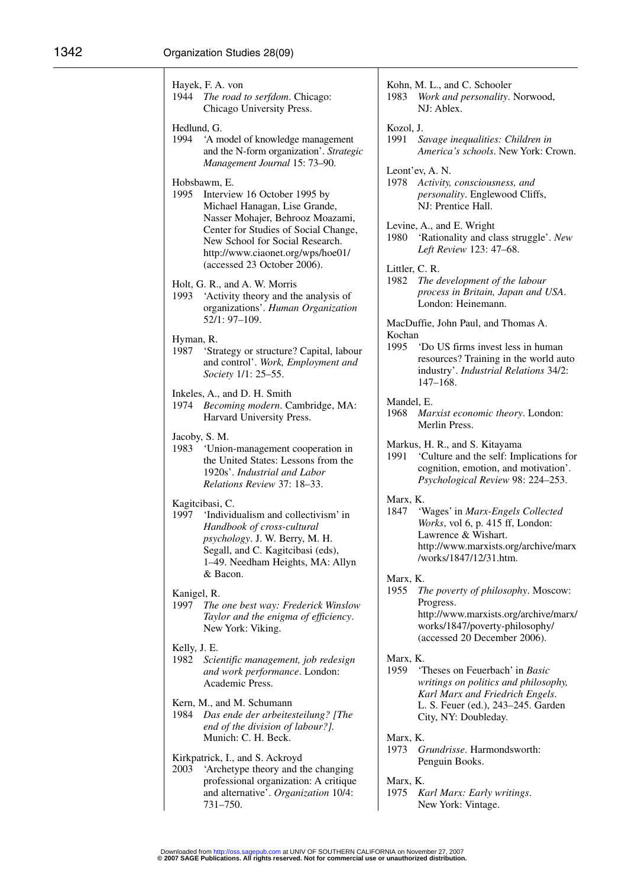|                      | Hayek, F. A. von<br>1944 The road to serfdom. Chicago:<br>Chicago University Press.                                                                                                             | 1983             | Kohn, M. L., and C. Schooler<br>Work and personality. Norwood,<br>NJ: Ablex.                                                                                  |
|----------------------|-------------------------------------------------------------------------------------------------------------------------------------------------------------------------------------------------|------------------|---------------------------------------------------------------------------------------------------------------------------------------------------------------|
| Hedlund, G.<br>1994  | 'A model of knowledge management<br>and the N-form organization'. Strategic<br>Management Journal 15: 73-90.                                                                                    | Kozol, J.        | 1991 Savage inequalities: Children in<br>America's schools. New York: Crown.                                                                                  |
| 1995                 | Hobsbawm, E.<br>Interview 16 October 1995 by<br>Michael Hanagan, Lise Grande,                                                                                                                   |                  | Leont'ev, A. N.<br>1978 Activity, consciousness, and<br>personality. Englewood Cliffs,<br>NJ: Prentice Hall.                                                  |
|                      | Nasser Mohajer, Behrooz Moazami,<br>Center for Studies of Social Change,<br>New School for Social Research.<br>http://www.ciaonet.org/wps/hoe01/                                                | 1980             | Levine, A., and E. Wright<br>'Rationality and class struggle'. New<br>Left Review 123: 47-68.                                                                 |
| 1993                 | (accessed 23 October 2006).<br>Holt, G. R., and A. W. Morris<br>'Activity theory and the analysis of<br>organizations'. Human Organization                                                      | Littler, C. R.   | 1982 The development of the labour<br>process in Britain, Japan and USA.<br>London: Heinemann.                                                                |
|                      | 52/1: 97-109.                                                                                                                                                                                   | Kochan           | MacDuffie, John Paul, and Thomas A.                                                                                                                           |
| Hyman, R.<br>1987    | 'Strategy or structure? Capital, labour<br>and control'. Work, Employment and<br>Society 1/1: 25-55.                                                                                            | 1995             | 'Do US firms invest less in human<br>resources? Training in the world auto<br>industry'. Industrial Relations 34/2:<br>$147 - 168.$                           |
|                      | Inkeles, A., and D. H. Smith<br>1974 Becoming modern. Cambridge, MA:<br>Harvard University Press.                                                                                               | Mandel, E.       | 1968 Marxist economic theory. London:<br>Merlin Press.                                                                                                        |
| 1983                 | Jacoby, S. M.<br>'Union-management cooperation in<br>the United States: Lessons from the<br>1920s'. Industrial and Labor<br>Relations Review 37: 18-33.                                         | 1991             | Markus, H. R., and S. Kitayama<br>'Culture and the self: Implications for<br>cognition, emotion, and motivation'.<br>Psychological Review 98: 224-253.        |
| 1997                 | Kagitcibasi, C.<br>'Individualism and collectivism' in<br>Handbook of cross-cultural<br>psychology. J. W. Berry, M. H.<br>Segall, and C. Kagitcibasi (eds),<br>1-49. Needham Heights, MA: Allyn | Marx, K.<br>1847 | 'Wages' in Marx-Engels Collected<br>Works, vol 6, p. 415 ff, London:<br>Lawrence & Wishart.<br>http://www.marxists.org/archive/marx<br>/works/1847/12/31.htm. |
| Kanigel, R.<br>1997  | & Bacon.<br>The one best way: Frederick Winslow<br>Taylor and the enigma of efficiency.<br>New York: Viking.                                                                                    | Marx, K.<br>1955 | The poverty of philosophy. Moscow:<br>Progress.<br>http://www.marxists.org/archive/marx/<br>works/1847/poverty-philosophy/<br>(accessed 20 December 2006).    |
| Kelly, J. E.<br>1982 | Scientific management, job redesign<br>and work performance. London:<br>Academic Press.                                                                                                         | Marx, K.<br>1959 | 'Theses on Feuerbach' in Basic<br>writings on politics and philosophy,                                                                                        |
| 1984                 | Kern, M., and M. Schumann<br>Das ende der arbeitesteilung? [The<br>end of the division of labour?].<br>Munich: C. H. Beck.                                                                      | Marx, K.         | Karl Marx and Friedrich Engels.<br>L. S. Feuer (ed.), 243-245. Garden<br>City, NY: Doubleday.                                                                 |
| 2003                 | Kirkpatrick, I., and S. Ackroyd<br>'Archetype theory and the changing                                                                                                                           | 1973             | Grundrisse. Harmondsworth:<br>Penguin Books.<br>$\mathbf{V}$                                                                                                  |

Kirkpa  $2003$ professional organization: A critique and alternative'. *Organization* 10/4: 731–750.

1973 *Grundrisse*. Harmondsworth: ks. Marx, K. 1975 *Karl Marx: Early writings*.

New York: Vintage.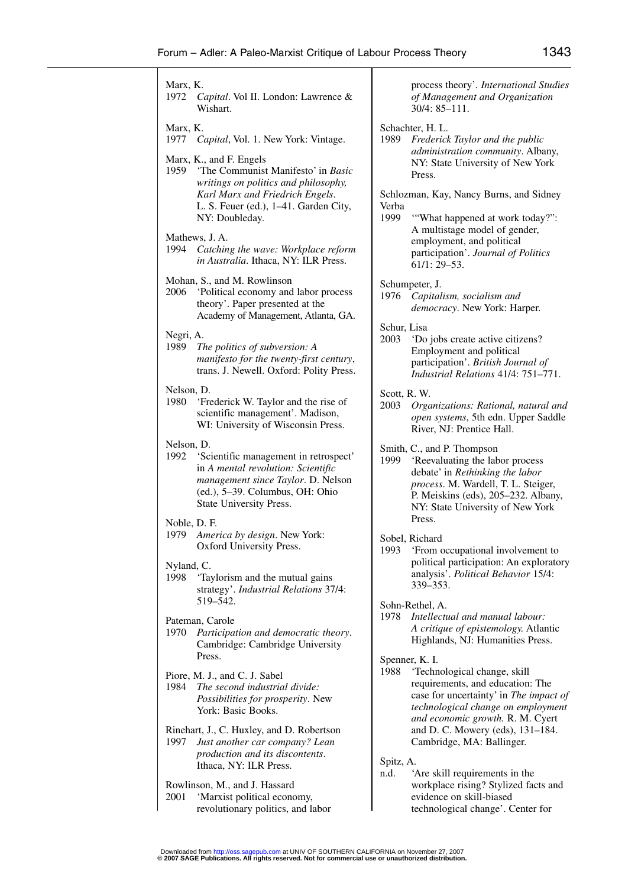| Marx, K.<br>1972<br>Capital. Vol II. London: Lawrence &<br>Wishart.                                                                                                                                                                                                                                                                                                          | process theory'. International Studies<br>of Management and Organization<br>30/4: 85-111.                                                                                                                                                                                                                                                                              |
|------------------------------------------------------------------------------------------------------------------------------------------------------------------------------------------------------------------------------------------------------------------------------------------------------------------------------------------------------------------------------|------------------------------------------------------------------------------------------------------------------------------------------------------------------------------------------------------------------------------------------------------------------------------------------------------------------------------------------------------------------------|
| Marx, K.<br>1977 Capital, Vol. 1. New York: Vintage.<br>Marx, K., and F. Engels<br>'The Communist Manifesto' in Basic<br>1959<br>writings on politics and philosophy,<br>Karl Marx and Friedrich Engels.<br>L. S. Feuer (ed.), 1-41. Garden City,<br>NY: Doubleday.<br>Mathews, J. A.<br>Catching the wave: Workplace reform<br>1994<br>in Australia. Ithaca, NY: ILR Press. | Schachter, H. L.<br>1989<br>Frederick Taylor and the public<br>administration community. Albany,<br>NY: State University of New York<br>Press.<br>Schlozman, Kay, Nancy Burns, and Sidney<br>Verba<br>1999<br>"What happened at work today?":<br>A multistage model of gender,<br>employment, and political<br>participation'. Journal of Politics<br>$61/1: 29 - 53.$ |
| Mohan, S., and M. Rowlinson<br>'Political economy and labor process<br>2006<br>theory'. Paper presented at the<br>Academy of Management, Atlanta, GA.                                                                                                                                                                                                                        | Schumpeter, J.<br>1976<br>Capitalism, socialism and<br>democracy. New York: Harper.                                                                                                                                                                                                                                                                                    |
| Negri, A.<br>1989<br>The politics of subversion: A<br>manifesto for the twenty-first century,<br>trans. J. Newell. Oxford: Polity Press.                                                                                                                                                                                                                                     | Schur, Lisa<br>2003<br>'Do jobs create active citizens?<br>Employment and political<br>participation'. British Journal of<br>Industrial Relations 41/4: 751-771.                                                                                                                                                                                                       |
| Nelson, D.<br>1980<br>'Frederick W. Taylor and the rise of<br>scientific management'. Madison,<br>WI: University of Wisconsin Press.                                                                                                                                                                                                                                         | Scott, R. W.<br>Organizations: Rational, natural and<br>2003<br>open systems, 5th edn. Upper Saddle<br>River, NJ: Prentice Hall.                                                                                                                                                                                                                                       |
| Nelson, D.<br>1992<br>'Scientific management in retrospect'<br>in A mental revolution: Scientific<br>management since Taylor. D. Nelson<br>(ed.), 5-39. Columbus, OH: Ohio<br>State University Press.                                                                                                                                                                        | Smith, C., and P. Thompson<br>'Reevaluating the labor process<br>1999<br>debate' in Rethinking the labor<br>process. M. Wardell, T. L. Steiger,<br>P. Meiskins (eds), 205-232. Albany,<br>NY: State University of New York<br>Press.                                                                                                                                   |
| Noble, D. F.<br>America by design. New York:<br>1979<br>Oxford University Press.<br>Nyland, C.<br>'Taylorism and the mutual gains<br>1998                                                                                                                                                                                                                                    | Sobel, Richard<br>1993<br>'From occupational involvement to<br>political participation: An exploratory<br>analysis'. Political Behavior 15/4:                                                                                                                                                                                                                          |
| strategy'. Industrial Relations 37/4:<br>519-542.<br>Pateman, Carole<br>Participation and democratic theory.<br>1970<br>Cambridge: Cambridge University                                                                                                                                                                                                                      | 339-353.<br>Sohn-Rethel, A.<br>Intellectual and manual labour:<br>1978<br>A critique of epistemology. Atlantic<br>Highlands, NJ: Humanities Press.                                                                                                                                                                                                                     |
| Press.<br>Piore, M. J., and C. J. Sabel<br>1984<br>The second industrial divide:<br>Possibilities for prosperity. New<br>York: Basic Books.                                                                                                                                                                                                                                  | Spenner, K. I.<br>1988<br>'Technological change, skill<br>requirements, and education: The<br>case for uncertainty' in The impact of<br>technological change on employment<br>and economic growth. R. M. Cyert                                                                                                                                                         |
| Rinehart, J., C. Huxley, and D. Robertson<br>Just another car company? Lean<br>1997<br>production and its discontents.<br>Ithaca, NY: ILR Press.                                                                                                                                                                                                                             | and D. C. Mowery (eds), 131-184.<br>Cambridge, MA: Ballinger.<br>Spitz, A.<br>n.d.<br>'Are skill requirements in the                                                                                                                                                                                                                                                   |
| Rowlinson, M., and J. Hassard<br>'Marxist political economy,<br>2001<br>revolutionary politics, and labor                                                                                                                                                                                                                                                                    | workplace rising? Stylized facts and<br>evidence on skill-biased<br>technological change'. Center for                                                                                                                                                                                                                                                                  |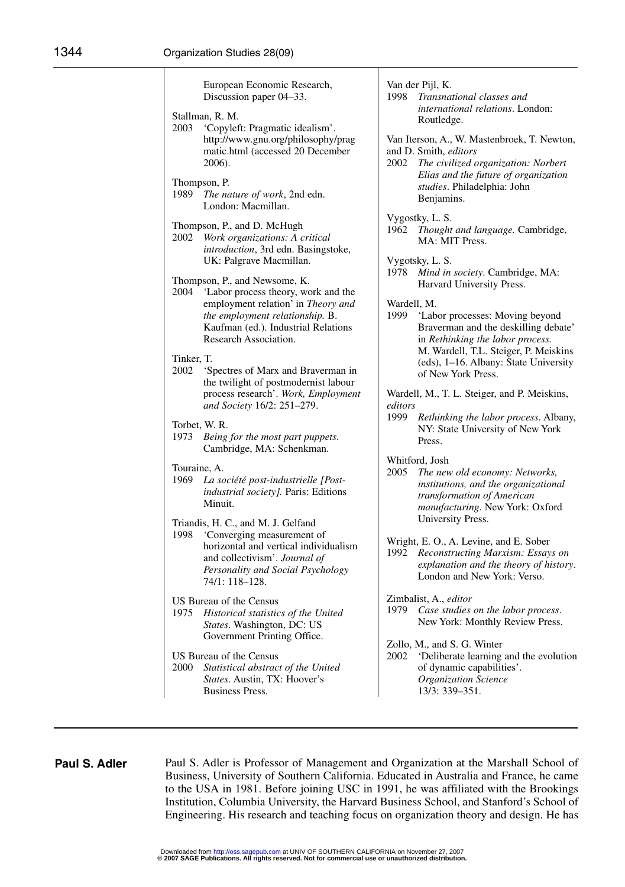$\overline{\phantom{a}}$ 

| European Economic Research,<br>Discussion paper 04–33.                                                                                                                                                                |
|-----------------------------------------------------------------------------------------------------------------------------------------------------------------------------------------------------------------------|
| Stallman, R. M.<br>2003<br>'Copyleft: Pragmatic idealism'.<br>http://www.gnu.org/philosophy/prag<br>matic.html (accessed 20 December<br>2006).                                                                        |
| Thompson, P.<br>1989<br>The nature of work, 2nd edn.<br>London: Macmillan.                                                                                                                                            |
| Thompson, P., and D. McHugh<br>Work organizations: A critical<br>2002<br>introduction, 3rd edn. Basingstoke,<br>UK: Palgrave Macmillan.                                                                               |
| Thompson, P., and Newsome, K.<br>'Labor process theory, work and the<br>2004<br>employment relation' in Theory and<br>the employment relationship. B.<br>Kaufman (ed.). Industrial Relations<br>Research Association. |
| Tinker, T.<br>'Spectres of Marx and Braverman in<br>2002<br>the twilight of postmodernist labour<br>process research'. Work, Employment<br>and Society 16/2: 251-279.                                                 |
| Torbet, W. R.<br>1973<br>Being for the most part puppets.<br>Cambridge, MA: Schenkman.                                                                                                                                |
| Touraine, A.<br>1969<br>La société post-industrielle [Post-<br>industrial society]. Paris: Editions<br>Minuit.                                                                                                        |
| Triandis, H. C., and M. J. Gelfand<br>'Converging measurement of<br>1998<br>horizontal and vertical individualism<br>and collectivism'. Journal of<br>Personality and Social Psychology<br>74/1: 118-128.             |
| US Bureau of the Census<br>1975<br>Historical statistics of the United<br>States. Washington, DC: US<br>Government Printing Office.                                                                                   |
| US Bureau of the Census<br>2000<br>Statistical abstract of the United<br>States. Austin, TX: Hoover's<br><b>Business Press.</b>                                                                                       |

Van der Pijl, K. 1998 *Transnational classes and international relations*. London: Routledge. Van Iterson, A., W. Mastenbroek, T. Newton, and D. Smith, *editors* 2002 *The civilized organization: Norbert Elias and the future of organization studies*. Philadelphia: John Benjamins. Vygostky, L. S. 1962 *Thought and language.* Cambridge, MA: MIT Press. Vygotsky, L. S. 1978 *Mind in society*. Cambridge, MA: Harvard University Press. Wardell, M. 1999 'Labor processes: Moving beyond Braverman and the deskilling debate' in *Rethinking the labor process.* M. Wardell, T.L. Steiger, P. Meiskins (eds), 1–16. Albany: State University of New York Press. Wardell, M., T. L. Steiger, and P. Meiskins, *editors* 1999 *Rethinking the labor process*. Albany, NY: State University of New York Press. Whitford, Josh 2005 *The new old economy: Networks, institutions, and the organizational transformation of American manufacturing*. New York: Oxford University Press. Wright, E. O., A. Levine, and E. Sober 1992 *Reconstructing Marxism: Essays on explanation and the theory of history*. London and New York: Verso. Zimbalist, A., *editor* 1979 *Case studies on the labor process*. New York: Monthly Review Press. Zollo, M., and S. G. Winter 2002 'Deliberate learning and the evolution of dynamic capabilities'. *Organization Science* 13/3: 339–351.

**Paul S. Adler**

Paul S. Adler is Professor of Management and Organization at the Marshall School of Business, University of Southern California. Educated in Australia and France, he came to the USA in 1981. Before joining USC in 1991, he was affiliated with the Brookings Institution, Columbia University, the Harvard Business School, and Stanford's School of Engineering. His research and teaching focus on organization theory and design. He has

**© 2007 SAGE Publications. All rights reserved. Not for commercial use or unauthorized distribution.** Downloaded from<http://oss.sagepub.com>at UNIV OF SOUTHERN CALIFORNIA on November 27, 2007